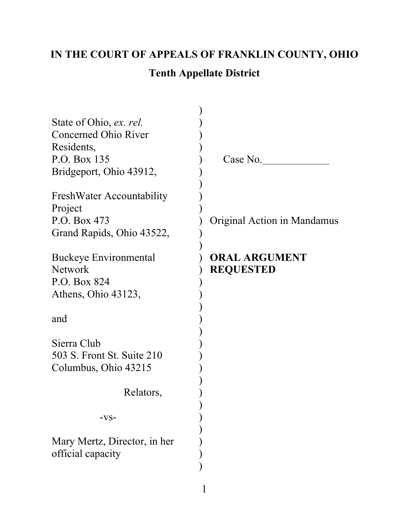## **IN THE COURT OF APPEALS OF FRANKLIN COUNTY, OHIO**

## **Tenth Appellate District**

| State of Ohio, ex. rel.          |                  |
|----------------------------------|------------------|
| Concerned Ohio River             |                  |
| Residents,                       |                  |
| P.O. Box 135                     |                  |
| Bridgeport, Ohio 43912,          |                  |
|                                  |                  |
| <b>FreshWater Accountability</b> | ソンソンソンソンソンソンソンソン |
| Project                          |                  |
| P.O. Box 473                     |                  |
| Grand Rapids, Ohio 43522,        |                  |
|                                  |                  |
| Buckeye Environmental            |                  |
| <b>Network</b>                   |                  |
| P.O. Box 824                     |                  |
| Athens, Ohio 43123,              |                  |
|                                  |                  |
| and                              |                  |
|                                  |                  |
| Sierra Club                      |                  |
| 503 S. Front St. Suite 210       |                  |
| Columbus, Ohio 43215             |                  |
|                                  |                  |
| Relators,                        |                  |
|                                  |                  |
| ·vs-                             |                  |
|                                  |                  |
| Mary Mertz, Director, in her     |                  |
| official capacity                |                  |
|                                  |                  |
|                                  |                  |

Case No.

Original Action in Mandamus

### **ORAL ARGUMENT REQUESTED**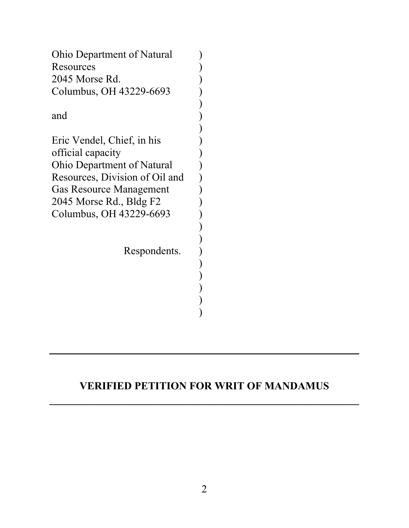| <b>Ohio Department of Natural</b> |  |
|-----------------------------------|--|
| Resources                         |  |
| 2045 Morse Rd.                    |  |
| Columbus, OH 43229-6693           |  |
|                                   |  |
| and                               |  |
|                                   |  |
| Eric Vendel, Chief, in his        |  |
| official capacity                 |  |
| Ohio Department of Natural        |  |
| Resources, Division of Oil and    |  |
| <b>Gas Resource Management</b>    |  |
| 2045 Morse Rd., Bldg F2           |  |
| Columbus, OH 43229-6693           |  |
|                                   |  |
|                                   |  |
| Respondents.                      |  |
|                                   |  |
|                                   |  |
|                                   |  |
|                                   |  |
|                                   |  |
|                                   |  |

## **VERIFIED PETITION FOR WRIT OF MANDAMUS**

**\_\_\_\_\_\_\_\_\_\_\_\_\_\_\_\_\_\_\_\_\_\_\_\_\_\_\_\_\_\_\_\_\_\_\_\_\_\_\_\_\_\_\_\_\_\_\_\_\_\_\_\_\_\_\_\_\_\_**

\_\_\_\_\_\_\_\_\_\_\_\_\_\_\_\_\_\_\_\_\_\_\_\_\_\_\_\_\_\_\_\_\_\_\_\_\_\_\_\_\_\_\_\_\_\_\_\_\_\_\_\_\_\_\_\_\_\_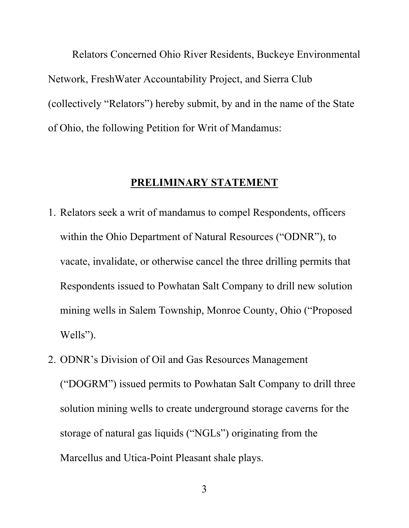Relators Concerned Ohio River Residents, Buckeye Environmental Network, FreshWater Accountability Project, and Sierra Club (collectively "Relators") hereby submit, by and in the name of the State of Ohio, the following Petition for Writ of Mandamus:

#### **PRELIMINARY STATEMENT**

- 1. Relators seek a writ of mandamus to compel Respondents, officers within the Ohio Department of Natural Resources ("ODNR"), to vacate, invalidate, or otherwise cancel the three drilling permits that Respondents issued to Powhatan Salt Company to drill new solution mining wells in Salem Township, Monroe County, Ohio ("Proposed Wells").
- 2. ODNR's Division of Oil and Gas Resources Management ("DOGRM") issued permits to Powhatan Salt Company to drill three solution mining wells to create underground storage caverns for the storage of natural gas liquids ("NGLs") originating from the Marcellus and Utica-Point Pleasant shale plays.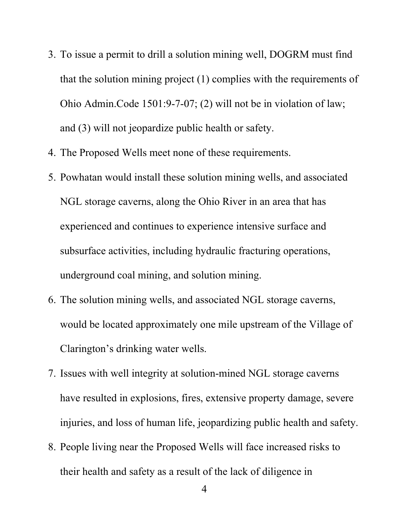- 3. To issue a permit to drill a solution mining well, DOGRM must find that the solution mining project (1) complies with the requirements of Ohio Admin.Code 1501:9-7-07; (2) will not be in violation of law; and (3) will not jeopardize public health or safety.
- 4. The Proposed Wells meet none of these requirements.
- 5. Powhatan would install these solution mining wells, and associated NGL storage caverns, along the Ohio River in an area that has experienced and continues to experience intensive surface and subsurface activities, including hydraulic fracturing operations, underground coal mining, and solution mining.
- 6. The solution mining wells, and associated NGL storage caverns, would be located approximately one mile upstream of the Village of Clarington's drinking water wells.
- 7. Issues with well integrity at solution-mined NGL storage caverns have resulted in explosions, fires, extensive property damage, severe injuries, and loss of human life, jeopardizing public health and safety.
- 8. People living near the Proposed Wells will face increased risks to their health and safety as a result of the lack of diligence in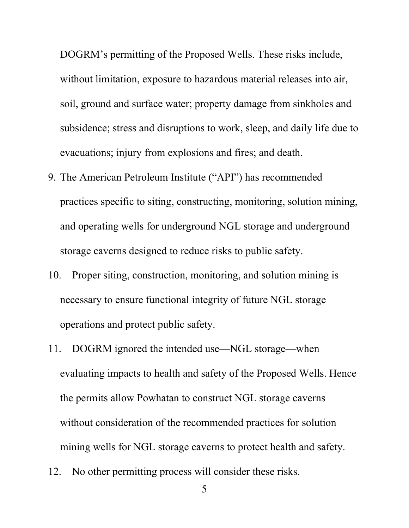DOGRM's permitting of the Proposed Wells. These risks include, without limitation, exposure to hazardous material releases into air, soil, ground and surface water; property damage from sinkholes and subsidence; stress and disruptions to work, sleep, and daily life due to evacuations; injury from explosions and fires; and death.

- 9. The American Petroleum Institute ("API") has recommended practices specific to siting, constructing, monitoring, solution mining, and operating wells for underground NGL storage and underground storage caverns designed to reduce risks to public safety.
- 10. Proper siting, construction, monitoring, and solution mining is necessary to ensure functional integrity of future NGL storage operations and protect public safety.
- 11. DOGRM ignored the intended use—NGL storage—when evaluating impacts to health and safety of the Proposed Wells. Hence the permits allow Powhatan to construct NGL storage caverns without consideration of the recommended practices for solution mining wells for NGL storage caverns to protect health and safety.
- 12. No other permitting process will consider these risks.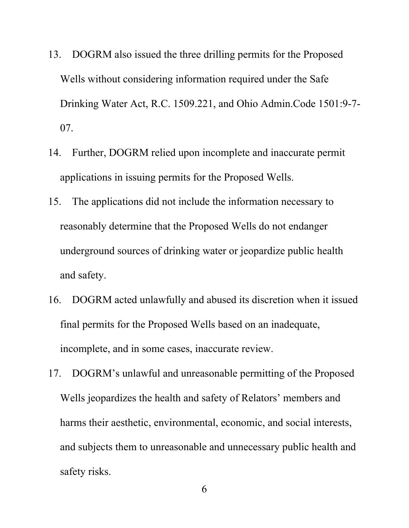- 13. DOGRM also issued the three drilling permits for the Proposed Wells without considering information required under the Safe Drinking Water Act, R.C. 1509.221, and Ohio Admin.Code 1501:9-7- 07.
- 14. Further, DOGRM relied upon incomplete and inaccurate permit applications in issuing permits for the Proposed Wells.
- 15. The applications did not include the information necessary to reasonably determine that the Proposed Wells do not endanger underground sources of drinking water or jeopardize public health and safety.
- 16. DOGRM acted unlawfully and abused its discretion when it issued final permits for the Proposed Wells based on an inadequate, incomplete, and in some cases, inaccurate review.
- 17. DOGRM's unlawful and unreasonable permitting of the Proposed Wells jeopardizes the health and safety of Relators' members and harms their aesthetic, environmental, economic, and social interests, and subjects them to unreasonable and unnecessary public health and safety risks.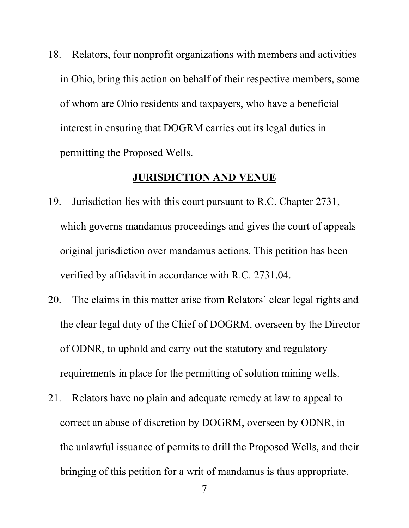18. Relators, four nonprofit organizations with members and activities in Ohio, bring this action on behalf of their respective members, some of whom are Ohio residents and taxpayers, who have a beneficial interest in ensuring that DOGRM carries out its legal duties in permitting the Proposed Wells.

#### **JURISDICTION AND VENUE**

- 19. Jurisdiction lies with this court pursuant to R.C. Chapter 2731, which governs mandamus proceedings and gives the court of appeals original jurisdiction over mandamus actions. This petition has been verified by affidavit in accordance with R.C. 2731.04.
- 20. The claims in this matter arise from Relators' clear legal rights and the clear legal duty of the Chief of DOGRM, overseen by the Director of ODNR, to uphold and carry out the statutory and regulatory requirements in place for the permitting of solution mining wells.
- 21. Relators have no plain and adequate remedy at law to appeal to correct an abuse of discretion by DOGRM, overseen by ODNR, in the unlawful issuance of permits to drill the Proposed Wells, and their bringing of this petition for a writ of mandamus is thus appropriate.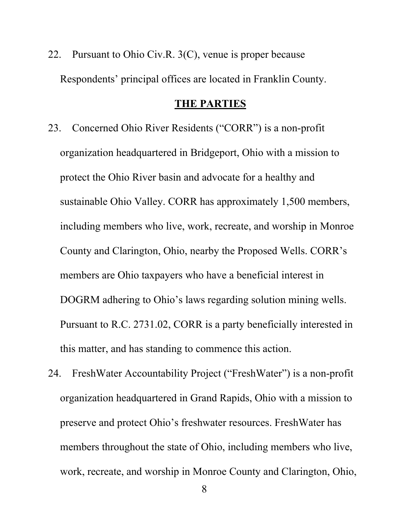22. Pursuant to Ohio Civ.R. 3(C), venue is proper because Respondents' principal offices are located in Franklin County.

#### **THE PARTIES**

- 23. Concerned Ohio River Residents ("CORR") is a non-profit organization headquartered in Bridgeport, Ohio with a mission to protect the Ohio River basin and advocate for a healthy and sustainable Ohio Valley. CORR has approximately 1,500 members, including members who live, work, recreate, and worship in Monroe County and Clarington, Ohio, nearby the Proposed Wells. CORR's members are Ohio taxpayers who have a beneficial interest in DOGRM adhering to Ohio's laws regarding solution mining wells. Pursuant to R.C. 2731.02, CORR is a party beneficially interested in this matter, and has standing to commence this action.
- 24. FreshWater Accountability Project ("FreshWater") is a non-profit organization headquartered in Grand Rapids, Ohio with a mission to preserve and protect Ohio's freshwater resources. FreshWater has members throughout the state of Ohio, including members who live, work, recreate, and worship in Monroe County and Clarington, Ohio,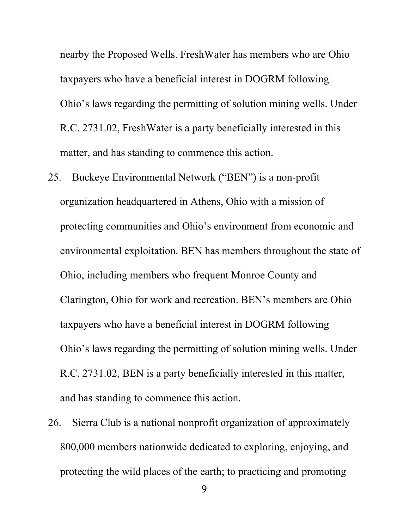nearby the Proposed Wells. FreshWater has members who are Ohio taxpayers who have a beneficial interest in DOGRM following Ohio's laws regarding the permitting of solution mining wells. Under R.C. 2731.02, FreshWater is a party beneficially interested in this matter, and has standing to commence this action.

- 25. Buckeye Environmental Network ("BEN") is a non-profit organization headquartered in Athens, Ohio with a mission of protecting communities and Ohio's environment from economic and environmental exploitation. BEN has members throughout the state of Ohio, including members who frequent Monroe County and Clarington, Ohio for work and recreation. BEN's members are Ohio taxpayers who have a beneficial interest in DOGRM following Ohio's laws regarding the permitting of solution mining wells. Under R.C. 2731.02, BEN is a party beneficially interested in this matter, and has standing to commence this action.
- 26. Sierra Club is a national nonprofit organization of approximately 800,000 members nationwide dedicated to exploring, enjoying, and protecting the wild places of the earth; to practicing and promoting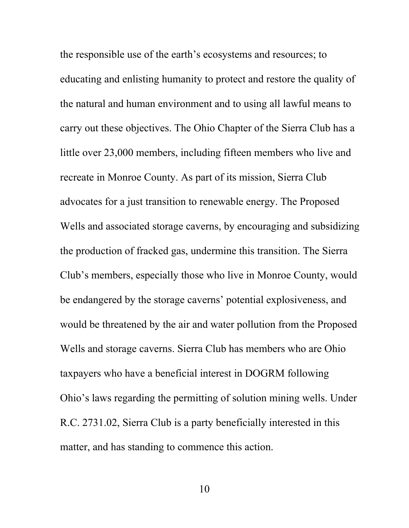the responsible use of the earth's ecosystems and resources; to educating and enlisting humanity to protect and restore the quality of the natural and human environment and to using all lawful means to carry out these objectives. The Ohio Chapter of the Sierra Club has a little over 23,000 members, including fifteen members who live and recreate in Monroe County. As part of its mission, Sierra Club advocates for a just transition to renewable energy. The Proposed Wells and associated storage caverns, by encouraging and subsidizing the production of fracked gas, undermine this transition. The Sierra Club's members, especially those who live in Monroe County, would be endangered by the storage caverns' potential explosiveness, and would be threatened by the air and water pollution from the Proposed Wells and storage caverns. Sierra Club has members who are Ohio taxpayers who have a beneficial interest in DOGRM following Ohio's laws regarding the permitting of solution mining wells. Under R.C. 2731.02, Sierra Club is a party beneficially interested in this matter, and has standing to commence this action.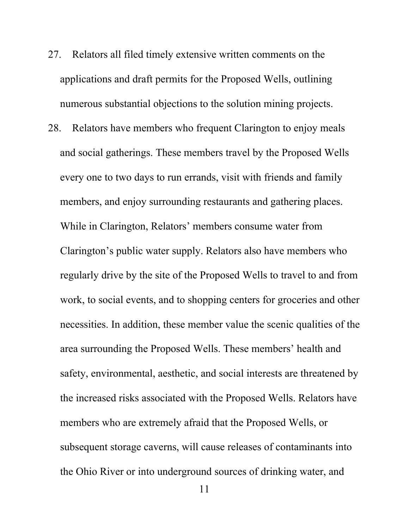- 27. Relators all filed timely extensive written comments on the applications and draft permits for the Proposed Wells, outlining numerous substantial objections to the solution mining projects.
- 28. Relators have members who frequent Clarington to enjoy meals and social gatherings. These members travel by the Proposed Wells every one to two days to run errands, visit with friends and family members, and enjoy surrounding restaurants and gathering places. While in Clarington, Relators' members consume water from Clarington's public water supply. Relators also have members who regularly drive by the site of the Proposed Wells to travel to and from work, to social events, and to shopping centers for groceries and other necessities. In addition, these member value the scenic qualities of the area surrounding the Proposed Wells. These members' health and safety, environmental, aesthetic, and social interests are threatened by the increased risks associated with the Proposed Wells. Relators have members who are extremely afraid that the Proposed Wells, or subsequent storage caverns, will cause releases of contaminants into the Ohio River or into underground sources of drinking water, and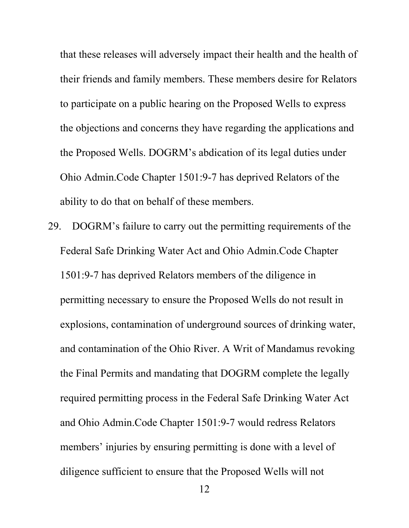that these releases will adversely impact their health and the health of their friends and family members. These members desire for Relators to participate on a public hearing on the Proposed Wells to express the objections and concerns they have regarding the applications and the Proposed Wells. DOGRM's abdication of its legal duties under Ohio Admin.Code Chapter 1501:9-7 has deprived Relators of the ability to do that on behalf of these members.

29. DOGRM's failure to carry out the permitting requirements of the Federal Safe Drinking Water Act and Ohio Admin.Code Chapter 1501:9-7 has deprived Relators members of the diligence in permitting necessary to ensure the Proposed Wells do not result in explosions, contamination of underground sources of drinking water, and contamination of the Ohio River. A Writ of Mandamus revoking the Final Permits and mandating that DOGRM complete the legally required permitting process in the Federal Safe Drinking Water Act and Ohio Admin.Code Chapter 1501:9-7 would redress Relators members' injuries by ensuring permitting is done with a level of diligence sufficient to ensure that the Proposed Wells will not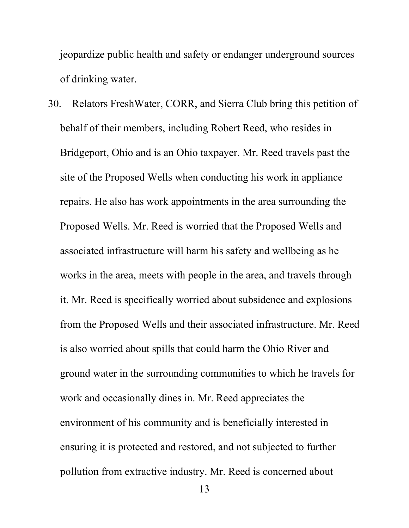jeopardize public health and safety or endanger underground sources of drinking water.

30. Relators FreshWater, CORR, and Sierra Club bring this petition of behalf of their members, including Robert Reed, who resides in Bridgeport, Ohio and is an Ohio taxpayer. Mr. Reed travels past the site of the Proposed Wells when conducting his work in appliance repairs. He also has work appointments in the area surrounding the Proposed Wells. Mr. Reed is worried that the Proposed Wells and associated infrastructure will harm his safety and wellbeing as he works in the area, meets with people in the area, and travels through it. Mr. Reed is specifically worried about subsidence and explosions from the Proposed Wells and their associated infrastructure. Mr. Reed is also worried about spills that could harm the Ohio River and ground water in the surrounding communities to which he travels for work and occasionally dines in. Mr. Reed appreciates the environment of his community and is beneficially interested in ensuring it is protected and restored, and not subjected to further pollution from extractive industry. Mr. Reed is concerned about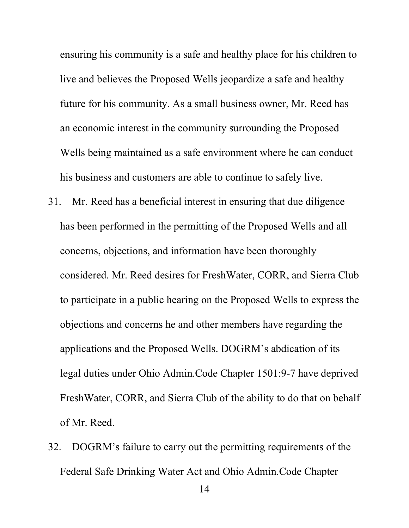ensuring his community is a safe and healthy place for his children to live and believes the Proposed Wells jeopardize a safe and healthy future for his community. As a small business owner, Mr. Reed has an economic interest in the community surrounding the Proposed Wells being maintained as a safe environment where he can conduct his business and customers are able to continue to safely live.

- 31. Mr. Reed has a beneficial interest in ensuring that due diligence has been performed in the permitting of the Proposed Wells and all concerns, objections, and information have been thoroughly considered. Mr. Reed desires for FreshWater, CORR, and Sierra Club to participate in a public hearing on the Proposed Wells to express the objections and concerns he and other members have regarding the applications and the Proposed Wells. DOGRM's abdication of its legal duties under Ohio Admin.Code Chapter 1501:9-7 have deprived FreshWater, CORR, and Sierra Club of the ability to do that on behalf of Mr. Reed.
- 32. DOGRM's failure to carry out the permitting requirements of the Federal Safe Drinking Water Act and Ohio Admin.Code Chapter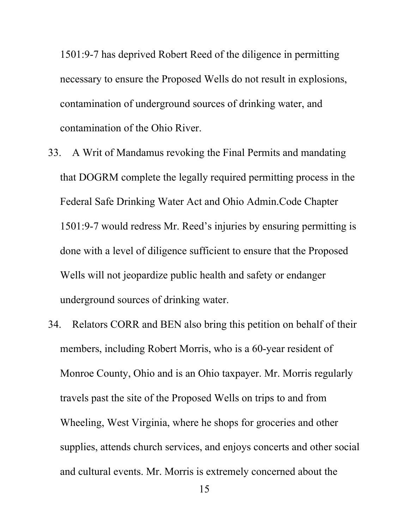1501:9-7 has deprived Robert Reed of the diligence in permitting necessary to ensure the Proposed Wells do not result in explosions, contamination of underground sources of drinking water, and contamination of the Ohio River.

- 33. A Writ of Mandamus revoking the Final Permits and mandating that DOGRM complete the legally required permitting process in the Federal Safe Drinking Water Act and Ohio Admin.Code Chapter 1501:9-7 would redress Mr. Reed's injuries by ensuring permitting is done with a level of diligence sufficient to ensure that the Proposed Wells will not jeopardize public health and safety or endanger underground sources of drinking water.
- 34. Relators CORR and BEN also bring this petition on behalf of their members, including Robert Morris, who is a 60-year resident of Monroe County, Ohio and is an Ohio taxpayer. Mr. Morris regularly travels past the site of the Proposed Wells on trips to and from Wheeling, West Virginia, where he shops for groceries and other supplies, attends church services, and enjoys concerts and other social and cultural events. Mr. Morris is extremely concerned about the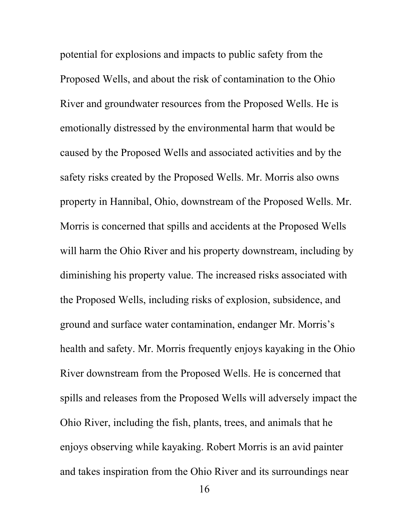potential for explosions and impacts to public safety from the Proposed Wells, and about the risk of contamination to the Ohio River and groundwater resources from the Proposed Wells. He is emotionally distressed by the environmental harm that would be caused by the Proposed Wells and associated activities and by the safety risks created by the Proposed Wells. Mr. Morris also owns property in Hannibal, Ohio, downstream of the Proposed Wells. Mr. Morris is concerned that spills and accidents at the Proposed Wells will harm the Ohio River and his property downstream, including by diminishing his property value. The increased risks associated with the Proposed Wells, including risks of explosion, subsidence, and ground and surface water contamination, endanger Mr. Morris's health and safety. Mr. Morris frequently enjoys kayaking in the Ohio River downstream from the Proposed Wells. He is concerned that spills and releases from the Proposed Wells will adversely impact the Ohio River, including the fish, plants, trees, and animals that he enjoys observing while kayaking. Robert Morris is an avid painter and takes inspiration from the Ohio River and its surroundings near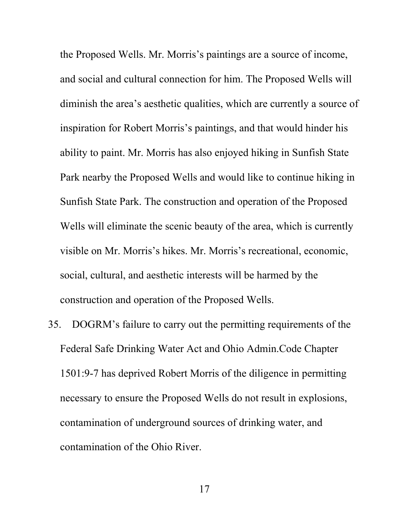the Proposed Wells. Mr. Morris's paintings are a source of income, and social and cultural connection for him. The Proposed Wells will diminish the area's aesthetic qualities, which are currently a source of inspiration for Robert Morris's paintings, and that would hinder his ability to paint. Mr. Morris has also enjoyed hiking in Sunfish State Park nearby the Proposed Wells and would like to continue hiking in Sunfish State Park. The construction and operation of the Proposed Wells will eliminate the scenic beauty of the area, which is currently visible on Mr. Morris's hikes. Mr. Morris's recreational, economic, social, cultural, and aesthetic interests will be harmed by the construction and operation of the Proposed Wells.

35. DOGRM's failure to carry out the permitting requirements of the Federal Safe Drinking Water Act and Ohio Admin.Code Chapter 1501:9-7 has deprived Robert Morris of the diligence in permitting necessary to ensure the Proposed Wells do not result in explosions, contamination of underground sources of drinking water, and contamination of the Ohio River.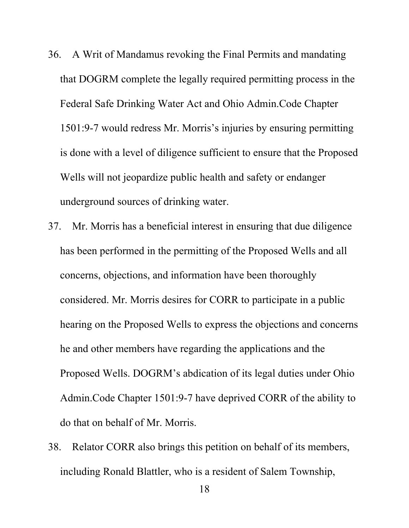- 36. A Writ of Mandamus revoking the Final Permits and mandating that DOGRM complete the legally required permitting process in the Federal Safe Drinking Water Act and Ohio Admin.Code Chapter 1501:9-7 would redress Mr. Morris's injuries by ensuring permitting is done with a level of diligence sufficient to ensure that the Proposed Wells will not jeopardize public health and safety or endanger underground sources of drinking water.
- 37. Mr. Morris has a beneficial interest in ensuring that due diligence has been performed in the permitting of the Proposed Wells and all concerns, objections, and information have been thoroughly considered. Mr. Morris desires for CORR to participate in a public hearing on the Proposed Wells to express the objections and concerns he and other members have regarding the applications and the Proposed Wells. DOGRM's abdication of its legal duties under Ohio Admin.Code Chapter 1501:9-7 have deprived CORR of the ability to do that on behalf of Mr. Morris.
- 38. Relator CORR also brings this petition on behalf of its members, including Ronald Blattler, who is a resident of Salem Township,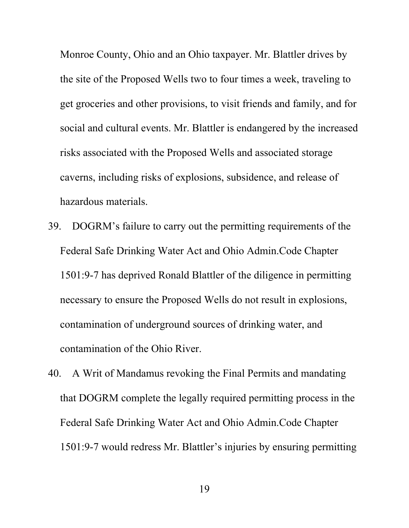Monroe County, Ohio and an Ohio taxpayer. Mr. Blattler drives by the site of the Proposed Wells two to four times a week, traveling to get groceries and other provisions, to visit friends and family, and for social and cultural events. Mr. Blattler is endangered by the increased risks associated with the Proposed Wells and associated storage caverns, including risks of explosions, subsidence, and release of hazardous materials.

- 39. DOGRM's failure to carry out the permitting requirements of the Federal Safe Drinking Water Act and Ohio Admin.Code Chapter 1501:9-7 has deprived Ronald Blattler of the diligence in permitting necessary to ensure the Proposed Wells do not result in explosions, contamination of underground sources of drinking water, and contamination of the Ohio River.
- 40. A Writ of Mandamus revoking the Final Permits and mandating that DOGRM complete the legally required permitting process in the Federal Safe Drinking Water Act and Ohio Admin.Code Chapter 1501:9-7 would redress Mr. Blattler's injuries by ensuring permitting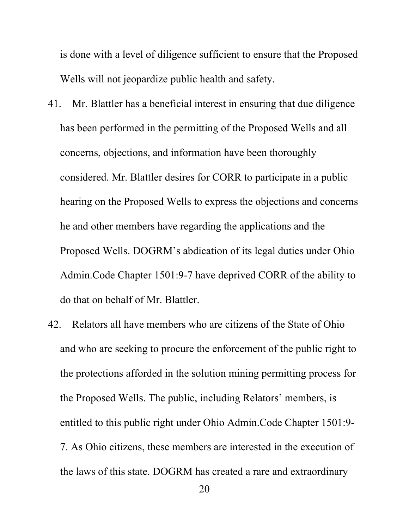is done with a level of diligence sufficient to ensure that the Proposed Wells will not jeopardize public health and safety.

- 41. Mr. Blattler has a beneficial interest in ensuring that due diligence has been performed in the permitting of the Proposed Wells and all concerns, objections, and information have been thoroughly considered. Mr. Blattler desires for CORR to participate in a public hearing on the Proposed Wells to express the objections and concerns he and other members have regarding the applications and the Proposed Wells. DOGRM's abdication of its legal duties under Ohio Admin.Code Chapter 1501:9-7 have deprived CORR of the ability to do that on behalf of Mr. Blattler.
- 42. Relators all have members who are citizens of the State of Ohio and who are seeking to procure the enforcement of the public right to the protections afforded in the solution mining permitting process for the Proposed Wells. The public, including Relators' members, is entitled to this public right under Ohio Admin.Code Chapter 1501:9- 7. As Ohio citizens, these members are interested in the execution of the laws of this state. DOGRM has created a rare and extraordinary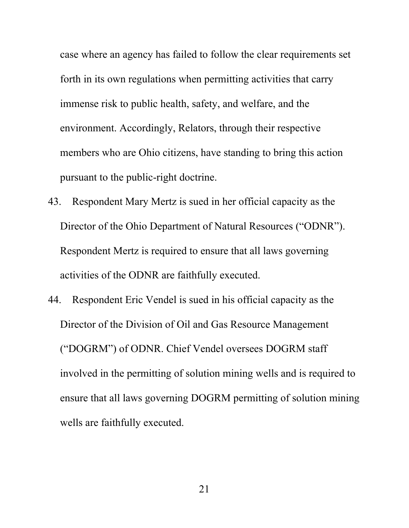case where an agency has failed to follow the clear requirements set forth in its own regulations when permitting activities that carry immense risk to public health, safety, and welfare, and the environment. Accordingly, Relators, through their respective members who are Ohio citizens, have standing to bring this action pursuant to the public-right doctrine.

- 43. Respondent Mary Mertz is sued in her official capacity as the Director of the Ohio Department of Natural Resources ("ODNR"). Respondent Mertz is required to ensure that all laws governing activities of the ODNR are faithfully executed.
- 44. Respondent Eric Vendel is sued in his official capacity as the Director of the Division of Oil and Gas Resource Management ("DOGRM") of ODNR. Chief Vendel oversees DOGRM staff involved in the permitting of solution mining wells and is required to ensure that all laws governing DOGRM permitting of solution mining wells are faithfully executed.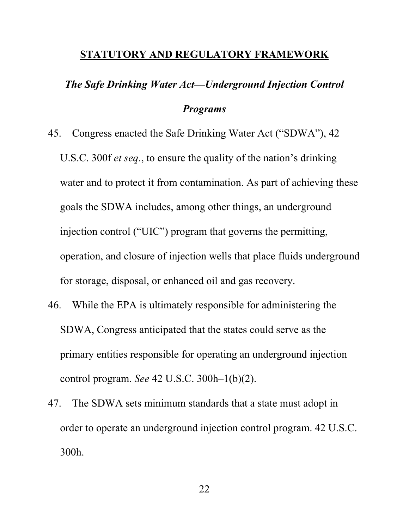#### **STATUTORY AND REGULATORY FRAMEWORK**

# *The Safe Drinking Water Act—Underground Injection Control*

#### *Programs*

- 45. Congress enacted the Safe Drinking Water Act ("SDWA"), 42 U.S.C. 300f *et seq*., to ensure the quality of the nation's drinking water and to protect it from contamination. As part of achieving these goals the SDWA includes, among other things, an underground injection control ("UIC") program that governs the permitting, operation, and closure of injection wells that place fluids underground for storage, disposal, or enhanced oil and gas recovery.
- 46. While the EPA is ultimately responsible for administering the SDWA, Congress anticipated that the states could serve as the primary entities responsible for operating an underground injection control program. *See* 42 U.S.C. 300h–1(b)(2).
- 47. The SDWA sets minimum standards that a state must adopt in order to operate an underground injection control program. 42 U.S.C. 300h.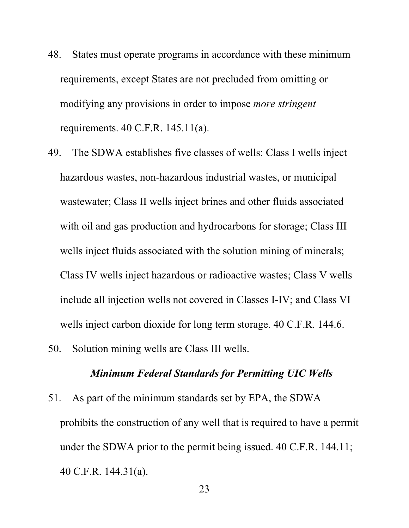- 48. States must operate programs in accordance with these minimum requirements, except States are not precluded from omitting or modifying any provisions in order to impose *more stringent* requirements. 40 C.F.R. 145.11(a).
- 49. The SDWA establishes five classes of wells: Class I wells inject hazardous wastes, non-hazardous industrial wastes, or municipal wastewater; Class II wells inject brines and other fluids associated with oil and gas production and hydrocarbons for storage; Class III wells inject fluids associated with the solution mining of minerals; Class IV wells inject hazardous or radioactive wastes; Class V wells include all injection wells not covered in Classes I-IV; and Class VI wells inject carbon dioxide for long term storage. 40 C.F.R. 144.6.
- 50. Solution mining wells are Class III wells.

#### *Minimum Federal Standards for Permitting UIC Wells*

51. As part of the minimum standards set by EPA, the SDWA prohibits the construction of any well that is required to have a permit under the SDWA prior to the permit being issued. 40 C.F.R. 144.11; 40 C.F.R. 144.31(a).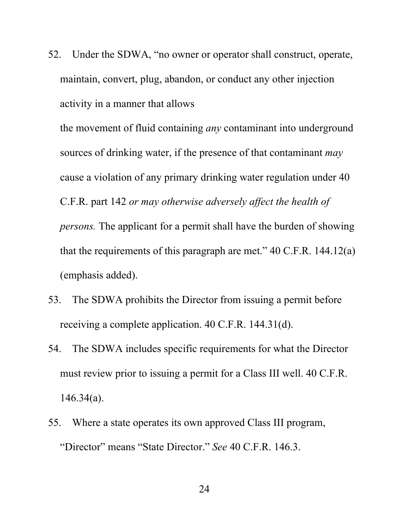52. Under the SDWA, "no owner or operator shall construct, operate, maintain, convert, plug, abandon, or conduct any other injection activity in a manner that allows

the movement of fluid containing *any* contaminant into underground sources of drinking water, if the presence of that contaminant *may* cause a violation of any primary drinking water regulation under 40 C.F.R. part 142 *or may otherwise adversely affect the health of persons.* The applicant for a permit shall have the burden of showing that the requirements of this paragraph are met."  $40$  C.F.R. 144.12(a) (emphasis added).

- 53. The SDWA prohibits the Director from issuing a permit before receiving a complete application. 40 C.F.R. 144.31(d).
- 54. The SDWA includes specific requirements for what the Director must review prior to issuing a permit for a Class III well. 40 C.F.R. 146.34(a).
- 55. Where a state operates its own approved Class III program, "Director" means "State Director." *See* 40 C.F.R. 146.3.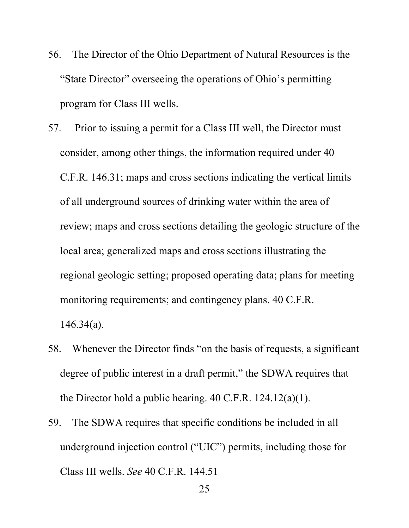- 56. The Director of the Ohio Department of Natural Resources is the "State Director" overseeing the operations of Ohio's permitting program for Class III wells.
- 57. Prior to issuing a permit for a Class III well, the Director must consider, among other things, the information required under 40 C.F.R. 146.31; maps and cross sections indicating the vertical limits of all underground sources of drinking water within the area of review; maps and cross sections detailing the geologic structure of the local area; generalized maps and cross sections illustrating the regional geologic setting; proposed operating data; plans for meeting monitoring requirements; and contingency plans. 40 C.F.R. 146.34(a).
- 58. Whenever the Director finds "on the basis of requests, a significant degree of public interest in a draft permit," the SDWA requires that the Director hold a public hearing. 40 C.F.R. 124.12(a)(1).
- 59. The SDWA requires that specific conditions be included in all underground injection control ("UIC") permits, including those for Class III wells. *See* 40 C.F.R. 144.51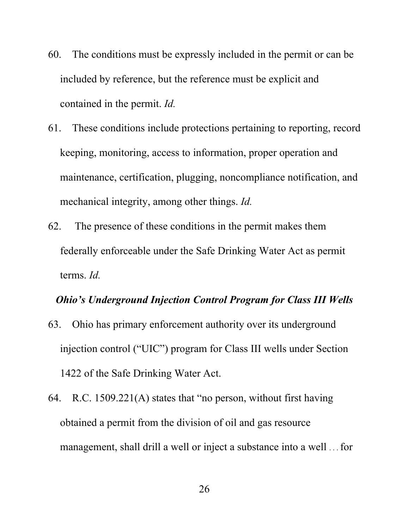- 60. The conditions must be expressly included in the permit or can be included by reference, but the reference must be explicit and contained in the permit. *Id.*
- 61. These conditions include protections pertaining to reporting, record keeping, monitoring, access to information, proper operation and maintenance, certification, plugging, noncompliance notification, and mechanical integrity, among other things. *Id.*
- 62. The presence of these conditions in the permit makes them federally enforceable under the Safe Drinking Water Act as permit terms. *Id.*

#### *Ohio's Underground Injection Control Program for Class III Wells*

- 63. Ohio has primary enforcement authority over its underground injection control ("UIC") program for Class III wells under Section 1422 of the Safe Drinking Water Act.
- 64. R.C. 1509.221(A) states that "no person, without first having obtained a permit from the division of oil and gas resource management, shall drill a well or inject a substance into a well . . . for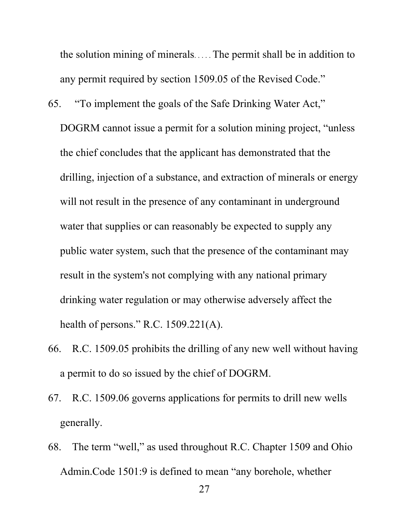the solution mining of minerals. . . . . The permit shall be in addition to any permit required by section 1509.05 of the Revised Code."

- 65. "To implement the goals of the Safe Drinking Water Act," DOGRM cannot issue a permit for a solution mining project, "unless the chief concludes that the applicant has demonstrated that the drilling, injection of a substance, and extraction of minerals or energy will not result in the presence of any contaminant in underground water that supplies or can reasonably be expected to supply any public water system, such that the presence of the contaminant may result in the system's not complying with any national primary drinking water regulation or may otherwise adversely affect the health of persons." R.C. 1509.221(A).
- 66. R.C. 1509.05 prohibits the drilling of any new well without having a permit to do so issued by the chief of DOGRM.
- 67. R.C. 1509.06 governs applications for permits to drill new wells generally.
- 68. The term "well," as used throughout R.C. Chapter 1509 and Ohio Admin.Code 1501:9 is defined to mean "any borehole, whether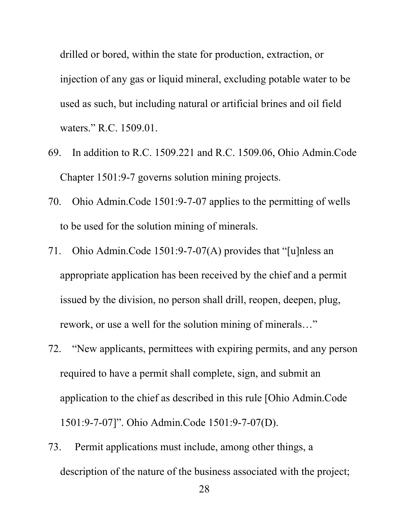drilled or bored, within the state for production, extraction, or injection of any gas or liquid mineral, excluding potable water to be used as such, but including natural or artificial brines and oil field waters." R.C. 1509.01.

- 69. In addition to R.C. 1509.221 and R.C. 1509.06, Ohio Admin.Code Chapter 1501:9-7 governs solution mining projects.
- 70. Ohio Admin.Code 1501:9-7-07 applies to the permitting of wells to be used for the solution mining of minerals.
- 71. Ohio Admin.Code 1501:9-7-07(A) provides that "[u]nless an appropriate application has been received by the chief and a permit issued by the division, no person shall drill, reopen, deepen, plug, rework, or use a well for the solution mining of minerals…"
- 72. "New applicants, permittees with expiring permits, and any person required to have a permit shall complete, sign, and submit an application to the chief as described in this rule [Ohio Admin.Code 1501:9-7-07]". Ohio Admin.Code 1501:9-7-07(D).
- 73. Permit applications must include, among other things, a description of the nature of the business associated with the project;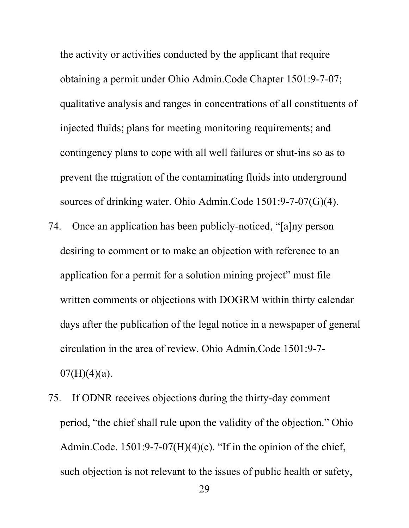the activity or activities conducted by the applicant that require obtaining a permit under Ohio Admin.Code Chapter 1501:9-7-07; qualitative analysis and ranges in concentrations of all constituents of injected fluids; plans for meeting monitoring requirements; and contingency plans to cope with all well failures or shut-ins so as to prevent the migration of the contaminating fluids into underground sources of drinking water. Ohio Admin.Code 1501:9-7-07(G)(4).

- 74. Once an application has been publicly-noticed, "[a]ny person desiring to comment or to make an objection with reference to an application for a permit for a solution mining project" must file written comments or objections with DOGRM within thirty calendar days after the publication of the legal notice in a newspaper of general circulation in the area of review. Ohio Admin.Code 1501:9-7-  $07(H)(4)(a)$ .
- 75. If ODNR receives objections during the thirty-day comment period, "the chief shall rule upon the validity of the objection." Ohio Admin.Code.  $1501:9-7-07(H)(4)(c)$ . "If in the opinion of the chief, such objection is not relevant to the issues of public health or safety,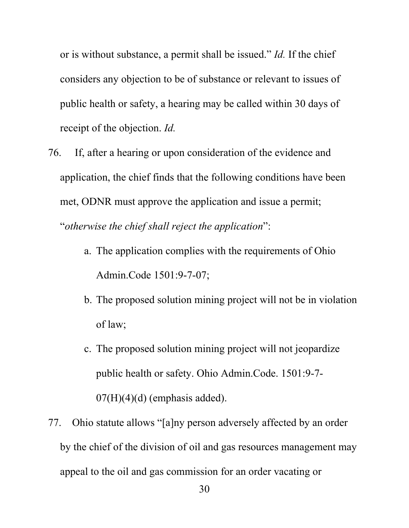or is without substance, a permit shall be issued." *Id.* If the chief considers any objection to be of substance or relevant to issues of public health or safety, a hearing may be called within 30 days of receipt of the objection. *Id.*

- 76. If, after a hearing or upon consideration of the evidence and application, the chief finds that the following conditions have been met, ODNR must approve the application and issue a permit; "*otherwise the chief shall reject the application*":
	- a. The application complies with the requirements of Ohio Admin.Code 1501:9-7-07;
	- b. The proposed solution mining project will not be in violation of law;
	- c. The proposed solution mining project will not jeopardize public health or safety. Ohio Admin.Code. 1501:9-7-  $07(H)(4)(d)$  (emphasis added).
- 77. Ohio statute allows "[a]ny person adversely affected by an order by the chief of the division of oil and gas resources management may appeal to the oil and gas commission for an order vacating or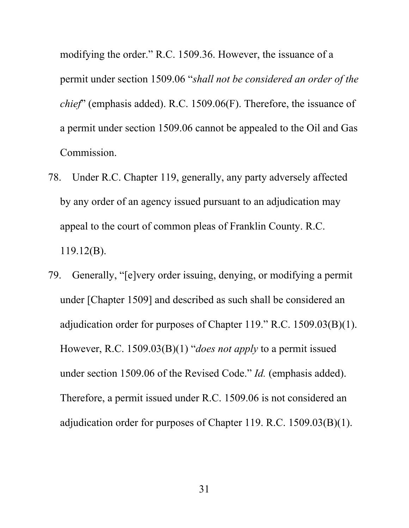modifying the order." R.C. 1509.36. However, the issuance of a permit under section 1509.06 "*shall not be considered an order of the chief*" (emphasis added). R.C. 1509.06(F). Therefore, the issuance of a permit under section 1509.06 cannot be appealed to the Oil and Gas Commission.

- 78. Under R.C. Chapter 119, generally, any party adversely affected by any order of an agency issued pursuant to an adjudication may appeal to the court of common pleas of Franklin County. R.C. 119.12(B).
- 79. Generally, "[e]very order issuing, denying, or modifying a permit under [Chapter 1509] and described as such shall be considered an adjudication order for purposes of Chapter 119." R.C. 1509.03(B)(1). However, R.C. 1509.03(B)(1) "*does not apply* to a permit issued under section 1509.06 of the Revised Code." *Id.* (emphasis added). Therefore, a permit issued under R.C. 1509.06 is not considered an adjudication order for purposes of Chapter 119. R.C. 1509.03(B)(1).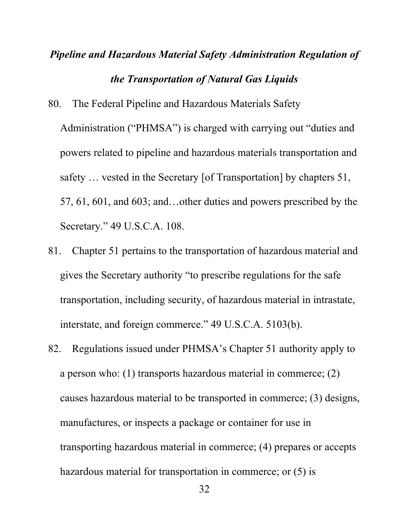# *Pipeline and Hazardous Material Safety Administration Regulation of the Transportation of Natural Gas Liquids*

80. The Federal Pipeline and Hazardous Materials Safety

Administration ("PHMSA") is charged with carrying out "duties and powers related to pipeline and hazardous materials transportation and safety … vested in the Secretary [of Transportation] by chapters 51, 57, 61, 601, and 603; and…other duties and powers prescribed by the Secretary." 49 U.S.C.A. 108.

- 81. Chapter 51 pertains to the transportation of hazardous material and gives the Secretary authority "to prescribe regulations for the safe transportation, including security, of hazardous material in intrastate, interstate, and foreign commerce." 49 U.S.C.A. 5103(b).
- 82. Regulations issued under PHMSA's Chapter 51 authority apply to a person who: (1) transports hazardous material in commerce; (2) causes hazardous material to be transported in commerce; (3) designs, manufactures, or inspects a package or container for use in transporting hazardous material in commerce; (4) prepares or accepts hazardous material for transportation in commerce; or (5) is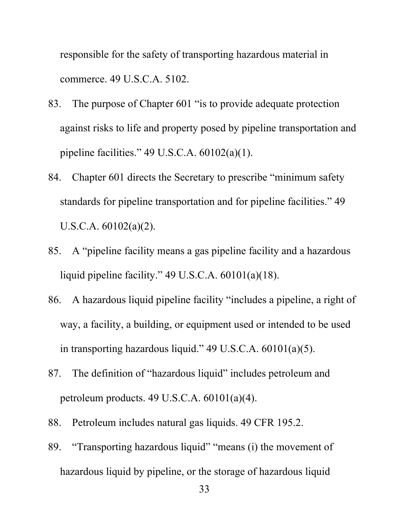responsible for the safety of transporting hazardous material in commerce. 49 U.S.C.A. 5102.

- 83. The purpose of Chapter 601 "is to provide adequate protection against risks to life and property posed by pipeline transportation and pipeline facilities." 49 U.S.C.A. 60102(a)(1).
- 84. Chapter 601 directs the Secretary to prescribe "minimum safety standards for pipeline transportation and for pipeline facilities." 49 U.S.C.A. 60102(a)(2).
- 85. A "pipeline facility means a gas pipeline facility and a hazardous liquid pipeline facility." 49 U.S.C.A. 60101(a)(18).
- 86. A hazardous liquid pipeline facility "includes a pipeline, a right of way, a facility, a building, or equipment used or intended to be used in transporting hazardous liquid." 49 U.S.C.A. 60101(a)(5).
- 87. The definition of "hazardous liquid" includes petroleum and petroleum products. 49 U.S.C.A. 60101(a)(4).
- 88. Petroleum includes natural gas liquids. 49 CFR 195.2.
- 89. "Transporting hazardous liquid" "means (i) the movement of hazardous liquid by pipeline, or the storage of hazardous liquid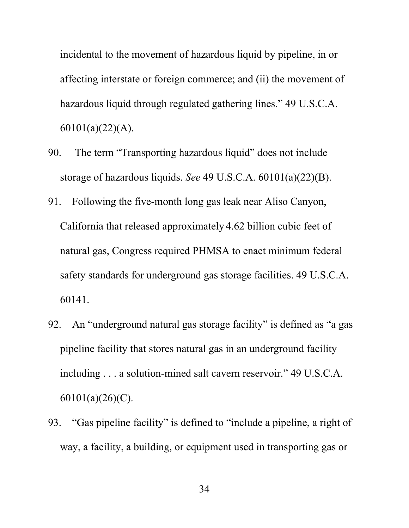incidental to the movement of hazardous liquid by pipeline, in or affecting interstate or foreign commerce; and (ii) the movement of hazardous liquid through regulated gathering lines." 49 U.S.C.A. 60101(a)(22)(A).

- 90. The term "Transporting hazardous liquid" does not include storage of hazardous liquids. *See* 49 U.S.C.A. 60101(a)(22)(B).
- 91. Following the five-month long gas leak near Aliso Canyon, California that released approximately 4.62 billion cubic feet of natural gas, Congress required PHMSA to enact minimum federal safety standards for underground gas storage facilities. 49 U.S.C.A. 60141.
- 92. An "underground natural gas storage facility" is defined as "a gas pipeline facility that stores natural gas in an underground facility including . . . a solution-mined salt cavern reservoir." 49 U.S.C.A. 60101(a)(26)(C).
- 93. "Gas pipeline facility" is defined to "include a pipeline, a right of way, a facility, a building, or equipment used in transporting gas or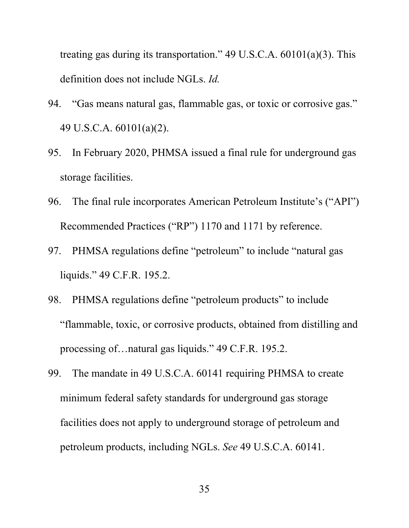treating gas during its transportation." 49 U.S.C.A. 60101(a)(3). This definition does not include NGLs. *Id.*

- 94. "Gas means natural gas, flammable gas, or toxic or corrosive gas." 49 U.S.C.A. 60101(a)(2).
- 95. In February 2020, PHMSA issued a final rule for underground gas storage facilities.
- 96. The final rule incorporates American Petroleum Institute's ("API") Recommended Practices ("RP") 1170 and 1171 by reference.
- 97. PHMSA regulations define "petroleum" to include "natural gas liquids." 49 C.F.R. 195.2.
- 98. PHMSA regulations define "petroleum products" to include "flammable, toxic, or corrosive products, obtained from distilling and processing of…natural gas liquids." 49 C.F.R. 195.2.
- 99. The mandate in 49 U.S.C.A. 60141 requiring PHMSA to create minimum federal safety standards for underground gas storage facilities does not apply to underground storage of petroleum and petroleum products, including NGLs. *See* 49 U.S.C.A. 60141.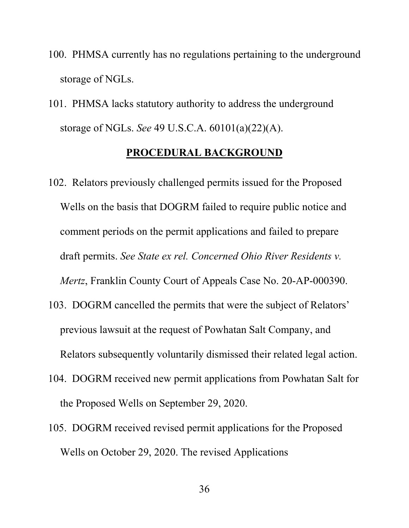- 100. PHMSA currently has no regulations pertaining to the underground storage of NGLs.
- 101. PHMSA lacks statutory authority to address the underground storage of NGLs. *See* 49 U.S.C.A. 60101(a)(22)(A).

#### **PROCEDURAL BACKGROUND**

- 102. Relators previously challenged permits issued for the Proposed Wells on the basis that DOGRM failed to require public notice and comment periods on the permit applications and failed to prepare draft permits. *See State ex rel. Concerned Ohio River Residents v. Mertz*, Franklin County Court of Appeals Case No. 20-AP-000390.
- 103. DOGRM cancelled the permits that were the subject of Relators' previous lawsuit at the request of Powhatan Salt Company, and Relators subsequently voluntarily dismissed their related legal action.
- 104. DOGRM received new permit applications from Powhatan Salt for the Proposed Wells on September 29, 2020.
- 105. DOGRM received revised permit applications for the Proposed Wells on October 29, 2020. The revised Applications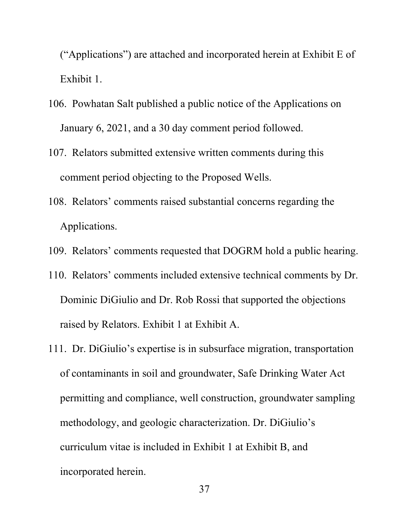("Applications") are attached and incorporated herein at Exhibit E of Exhibit 1.

- 106. Powhatan Salt published a public notice of the Applications on January 6, 2021, and a 30 day comment period followed.
- 107. Relators submitted extensive written comments during this comment period objecting to the Proposed Wells.
- 108. Relators' comments raised substantial concerns regarding the Applications.
- 109. Relators' comments requested that DOGRM hold a public hearing.
- 110. Relators' comments included extensive technical comments by Dr. Dominic DiGiulio and Dr. Rob Rossi that supported the objections raised by Relators. Exhibit 1 at Exhibit A.
- 111. Dr. DiGiulio's expertise is in subsurface migration, transportation of contaminants in soil and groundwater, Safe Drinking Water Act permitting and compliance, well construction, groundwater sampling methodology, and geologic characterization. Dr. DiGiulio's curriculum vitae is included in Exhibit 1 at Exhibit B, and incorporated herein.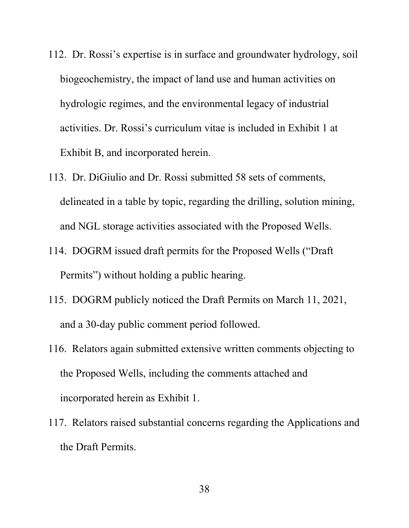- 112. Dr. Rossi's expertise is in surface and groundwater hydrology, soil biogeochemistry, the impact of land use and human activities on hydrologic regimes, and the environmental legacy of industrial activities. Dr. Rossi's curriculum vitae is included in Exhibit 1 at Exhibit B, and incorporated herein.
- 113. Dr. DiGiulio and Dr. Rossi submitted 58 sets of comments, delineated in a table by topic, regarding the drilling, solution mining, and NGL storage activities associated with the Proposed Wells.
- 114. DOGRM issued draft permits for the Proposed Wells ("Draft Permits") without holding a public hearing.
- 115. DOGRM publicly noticed the Draft Permits on March 11, 2021, and a 30-day public comment period followed.
- 116. Relators again submitted extensive written comments objecting to the Proposed Wells, including the comments attached and incorporated herein as Exhibit 1.
- 117. Relators raised substantial concerns regarding the Applications and the Draft Permits.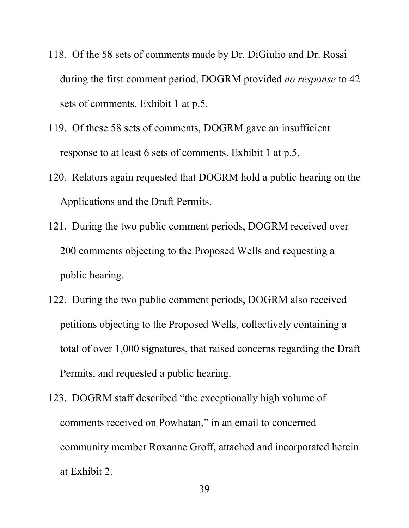- 118. Of the 58 sets of comments made by Dr. DiGiulio and Dr. Rossi during the first comment period, DOGRM provided *no response* to 42 sets of comments. Exhibit 1 at p.5.
- 119. Of these 58 sets of comments, DOGRM gave an insufficient response to at least 6 sets of comments. Exhibit 1 at p.5.
- 120. Relators again requested that DOGRM hold a public hearing on the Applications and the Draft Permits.
- 121. During the two public comment periods, DOGRM received over 200 comments objecting to the Proposed Wells and requesting a public hearing.
- 122. During the two public comment periods, DOGRM also received petitions objecting to the Proposed Wells, collectively containing a total of over 1,000 signatures, that raised concerns regarding the Draft Permits, and requested a public hearing.
- 123. DOGRM staff described "the exceptionally high volume of comments received on Powhatan," in an email to concerned community member Roxanne Groff, attached and incorporated herein at Exhibit 2.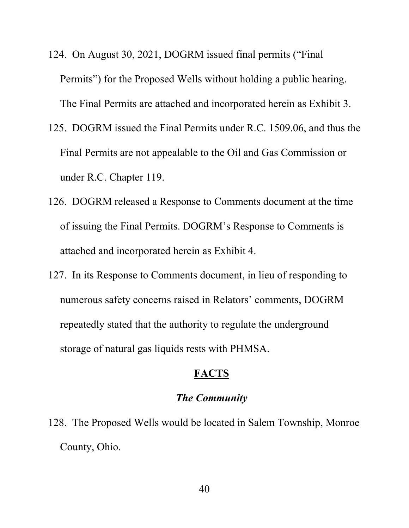- 124. On August 30, 2021, DOGRM issued final permits ("Final Permits") for the Proposed Wells without holding a public hearing. The Final Permits are attached and incorporated herein as Exhibit 3.
- 125. DOGRM issued the Final Permits under R.C. 1509.06, and thus the Final Permits are not appealable to the Oil and Gas Commission or under R.C. Chapter 119.
- 126. DOGRM released a Response to Comments document at the time of issuing the Final Permits. DOGRM's Response to Comments is attached and incorporated herein as Exhibit 4.
- 127. In its Response to Comments document, in lieu of responding to numerous safety concerns raised in Relators' comments, DOGRM repeatedly stated that the authority to regulate the underground storage of natural gas liquids rests with PHMSA.

## **FACTS**

# *The Community*

128. The Proposed Wells would be located in Salem Township, Monroe County, Ohio.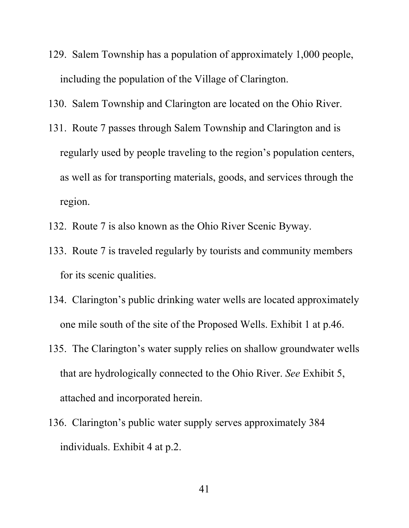- 129. Salem Township has a population of approximately 1,000 people, including the population of the Village of Clarington.
- 130. Salem Township and Clarington are located on the Ohio River.
- 131. Route 7 passes through Salem Township and Clarington and is regularly used by people traveling to the region's population centers, as well as for transporting materials, goods, and services through the region.
- 132. Route 7 is also known as the Ohio River Scenic Byway.
- 133. Route 7 is traveled regularly by tourists and community members for its scenic qualities.
- 134. Clarington's public drinking water wells are located approximately one mile south of the site of the Proposed Wells. Exhibit 1 at p.46.
- 135. The Clarington's water supply relies on shallow groundwater wells that are hydrologically connected to the Ohio River. *See* Exhibit 5, attached and incorporated herein.
- 136. Clarington's public water supply serves approximately 384 individuals. Exhibit 4 at p.2.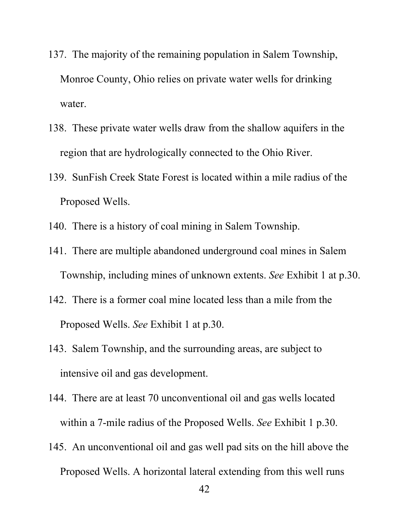- 137. The majority of the remaining population in Salem Township, Monroe County, Ohio relies on private water wells for drinking water.
- 138. These private water wells draw from the shallow aquifers in the region that are hydrologically connected to the Ohio River.
- 139. SunFish Creek State Forest is located within a mile radius of the Proposed Wells.
- 140. There is a history of coal mining in Salem Township.
- 141. There are multiple abandoned underground coal mines in Salem Township, including mines of unknown extents. *See* Exhibit 1 at p.30.
- 142. There is a former coal mine located less than a mile from the Proposed Wells. *See* Exhibit 1 at p.30.
- 143. Salem Township, and the surrounding areas, are subject to intensive oil and gas development.
- 144. There are at least 70 unconventional oil and gas wells located within a 7-mile radius of the Proposed Wells. *See* Exhibit 1 p.30.
- 145. An unconventional oil and gas well pad sits on the hill above the Proposed Wells. A horizontal lateral extending from this well runs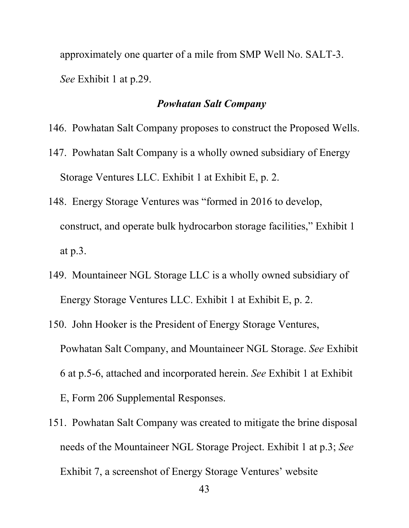approximately one quarter of a mile from SMP Well No. SALT-3. *See* Exhibit 1 at p.29.

## *Powhatan Salt Company*

- 146. Powhatan Salt Company proposes to construct the Proposed Wells.
- 147. Powhatan Salt Company is a wholly owned subsidiary of Energy Storage Ventures LLC. Exhibit 1 at Exhibit E, p. 2.
- 148. Energy Storage Ventures was "formed in 2016 to develop, construct, and operate bulk hydrocarbon storage facilities," Exhibit 1 at p.3.
- 149. Mountaineer NGL Storage LLC is a wholly owned subsidiary of Energy Storage Ventures LLC. Exhibit 1 at Exhibit E, p. 2.
- 150. John Hooker is the President of Energy Storage Ventures, Powhatan Salt Company, and Mountaineer NGL Storage. *See* Exhibit 6 at p.5-6, attached and incorporated herein. *See* Exhibit 1 at Exhibit E, Form 206 Supplemental Responses.
- 151. Powhatan Salt Company was created to mitigate the brine disposal needs of the Mountaineer NGL Storage Project. Exhibit 1 at p.3; *See*  Exhibit 7, a screenshot of Energy Storage Ventures' website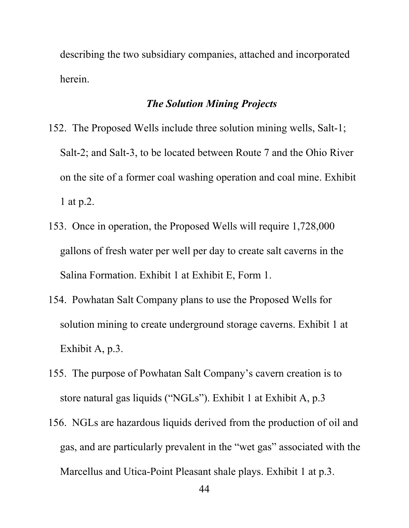describing the two subsidiary companies, attached and incorporated herein.

# *The Solution Mining Projects*

- 152. The Proposed Wells include three solution mining wells, Salt-1; Salt-2; and Salt-3, to be located between Route 7 and the Ohio River on the site of a former coal washing operation and coal mine. Exhibit 1 at p.2.
- 153. Once in operation, the Proposed Wells will require 1,728,000 gallons of fresh water per well per day to create salt caverns in the Salina Formation. Exhibit 1 at Exhibit E, Form 1.
- 154. Powhatan Salt Company plans to use the Proposed Wells for solution mining to create underground storage caverns. Exhibit 1 at Exhibit A, p.3.
- 155. The purpose of Powhatan Salt Company's cavern creation is to store natural gas liquids ("NGLs"). Exhibit 1 at Exhibit A, p.3
- 156. NGLs are hazardous liquids derived from the production of oil and gas, and are particularly prevalent in the "wet gas" associated with the Marcellus and Utica-Point Pleasant shale plays. Exhibit 1 at p.3.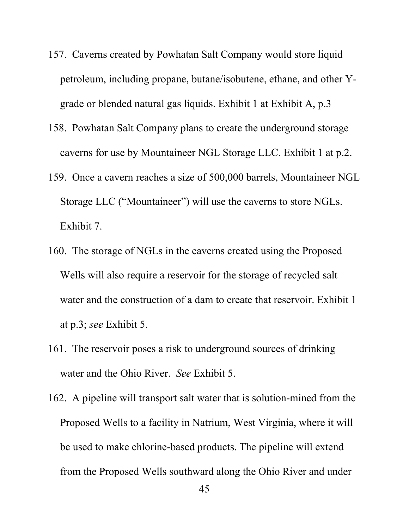- 157. Caverns created by Powhatan Salt Company would store liquid petroleum, including propane, butane/isobutene, ethane, and other Ygrade or blended natural gas liquids. Exhibit 1 at Exhibit A, p.3
- 158. Powhatan Salt Company plans to create the underground storage caverns for use by Mountaineer NGL Storage LLC. Exhibit 1 at p.2.
- 159. Once a cavern reaches a size of 500,000 barrels, Mountaineer NGL Storage LLC ("Mountaineer") will use the caverns to store NGLs. Exhibit 7.
- 160. The storage of NGLs in the caverns created using the Proposed Wells will also require a reservoir for the storage of recycled salt water and the construction of a dam to create that reservoir. Exhibit 1 at p.3; *see* Exhibit 5.
- 161. The reservoir poses a risk to underground sources of drinking water and the Ohio River. *See* Exhibit 5.
- 162. A pipeline will transport salt water that is solution-mined from the Proposed Wells to a facility in Natrium, West Virginia, where it will be used to make chlorine-based products. The pipeline will extend from the Proposed Wells southward along the Ohio River and under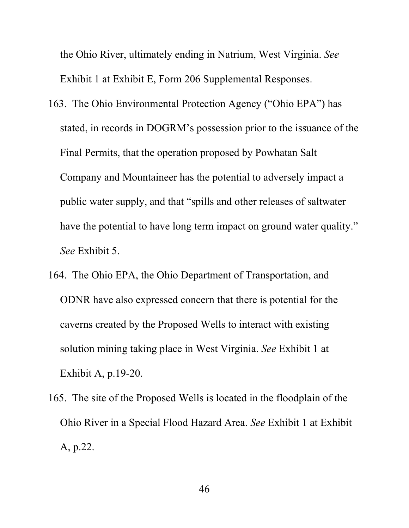the Ohio River, ultimately ending in Natrium, West Virginia. *See*  Exhibit 1 at Exhibit E, Form 206 Supplemental Responses.

- 163. The Ohio Environmental Protection Agency ("Ohio EPA") has stated, in records in DOGRM's possession prior to the issuance of the Final Permits, that the operation proposed by Powhatan Salt Company and Mountaineer has the potential to adversely impact a public water supply, and that "spills and other releases of saltwater have the potential to have long term impact on ground water quality." *See* Exhibit 5.
- 164. The Ohio EPA, the Ohio Department of Transportation, and ODNR have also expressed concern that there is potential for the caverns created by the Proposed Wells to interact with existing solution mining taking place in West Virginia. *See* Exhibit 1 at Exhibit A, p.19-20.
- 165. The site of the Proposed Wells is located in the floodplain of the Ohio River in a Special Flood Hazard Area. *See* Exhibit 1 at Exhibit A, p.22.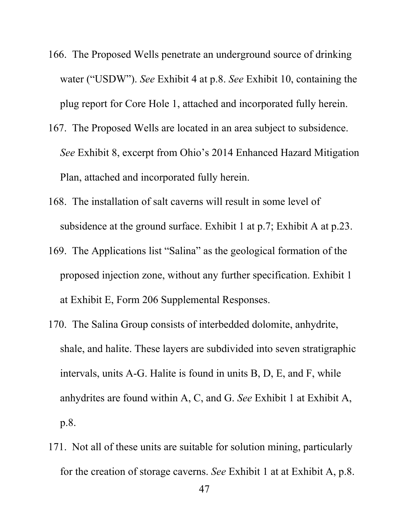- 166. The Proposed Wells penetrate an underground source of drinking water ("USDW"). *See* Exhibit 4 at p.8. *See* Exhibit 10, containing the plug report for Core Hole 1, attached and incorporated fully herein.
- 167. The Proposed Wells are located in an area subject to subsidence. *See* Exhibit 8, excerpt from Ohio's 2014 Enhanced Hazard Mitigation Plan, attached and incorporated fully herein.
- 168. The installation of salt caverns will result in some level of subsidence at the ground surface. Exhibit 1 at p.7; Exhibit A at p.23.
- 169. The Applications list "Salina" as the geological formation of the proposed injection zone, without any further specification. Exhibit 1 at Exhibit E, Form 206 Supplemental Responses.
- 170. The Salina Group consists of interbedded dolomite, anhydrite, shale, and halite. These layers are subdivided into seven stratigraphic intervals, units A-G. Halite is found in units B, D, E, and F, while anhydrites are found within A, C, and G. *See* Exhibit 1 at Exhibit A, p.8.
- 171. Not all of these units are suitable for solution mining, particularly for the creation of storage caverns. *See* Exhibit 1 at at Exhibit A, p.8.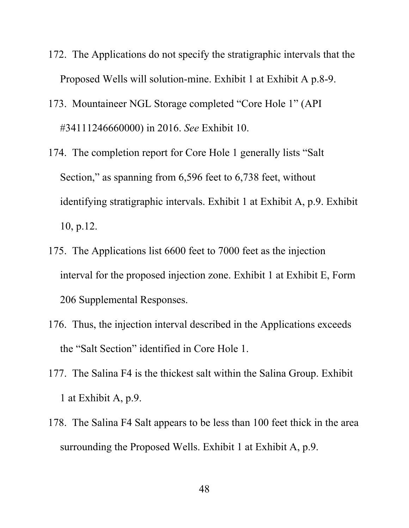- 172. The Applications do not specify the stratigraphic intervals that the Proposed Wells will solution-mine. Exhibit 1 at Exhibit A p.8-9.
- 173. Mountaineer NGL Storage completed "Core Hole 1" (API #34111246660000) in 2016. *See* Exhibit 10.
- 174. The completion report for Core Hole 1 generally lists "Salt Section," as spanning from 6,596 feet to 6,738 feet, without identifying stratigraphic intervals. Exhibit 1 at Exhibit A, p.9. Exhibit 10, p.12.
- 175. The Applications list 6600 feet to 7000 feet as the injection interval for the proposed injection zone. Exhibit 1 at Exhibit E, Form 206 Supplemental Responses.
- 176. Thus, the injection interval described in the Applications exceeds the "Salt Section" identified in Core Hole 1.
- 177. The Salina F4 is the thickest salt within the Salina Group. Exhibit 1 at Exhibit A, p.9.
- 178. The Salina F4 Salt appears to be less than 100 feet thick in the area surrounding the Proposed Wells. Exhibit 1 at Exhibit A, p.9.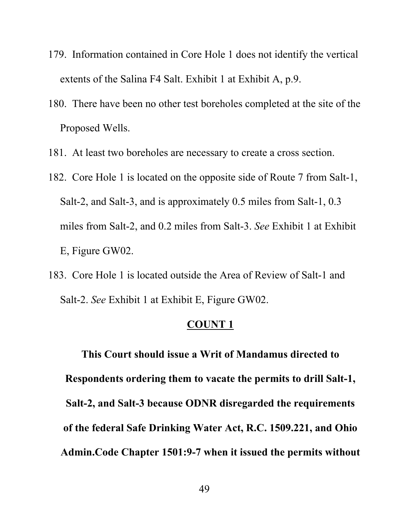- 179. Information contained in Core Hole 1 does not identify the vertical extents of the Salina F4 Salt. Exhibit 1 at Exhibit A, p.9.
- 180. There have been no other test boreholes completed at the site of the Proposed Wells.
- 181. At least two boreholes are necessary to create a cross section.
- 182. Core Hole 1 is located on the opposite side of Route 7 from Salt-1, Salt-2, and Salt-3, and is approximately 0.5 miles from Salt-1, 0.3 miles from Salt-2, and 0.2 miles from Salt-3. *See* Exhibit 1 at Exhibit E, Figure GW02.
- 183. Core Hole 1 is located outside the Area of Review of Salt-1 and Salt-2. *See* Exhibit 1 at Exhibit E, Figure GW02.

**This Court should issue a Writ of Mandamus directed to Respondents ordering them to vacate the permits to drill Salt-1, Salt-2, and Salt-3 because ODNR disregarded the requirements of the federal Safe Drinking Water Act, R.C. 1509.221, and Ohio Admin.Code Chapter 1501:9-7 when it issued the permits without**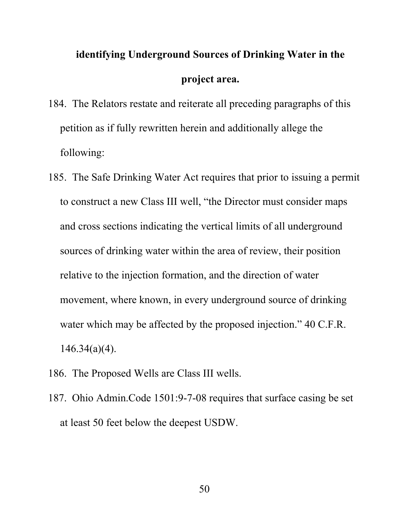# **identifying Underground Sources of Drinking Water in the project area.**

- 184. The Relators restate and reiterate all preceding paragraphs of this petition as if fully rewritten herein and additionally allege the following:
- 185. The Safe Drinking Water Act requires that prior to issuing a permit to construct a new Class III well, "the Director must consider maps and cross sections indicating the vertical limits of all underground sources of drinking water within the area of review, their position relative to the injection formation, and the direction of water movement, where known, in every underground source of drinking water which may be affected by the proposed injection." 40 C.F.R. 146.34(a)(4).
- 186. The Proposed Wells are Class III wells.
- 187. Ohio Admin.Code 1501:9-7-08 requires that surface casing be set at least 50 feet below the deepest USDW.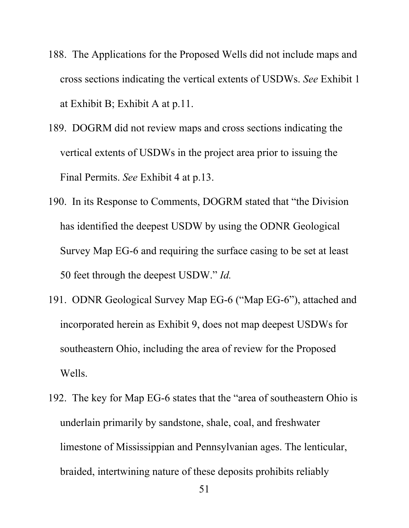- 188. The Applications for the Proposed Wells did not include maps and cross sections indicating the vertical extents of USDWs. *See* Exhibit 1 at Exhibit B; Exhibit A at p.11.
- 189. DOGRM did not review maps and cross sections indicating the vertical extents of USDWs in the project area prior to issuing the Final Permits. *See* Exhibit 4 at p.13.
- 190. In its Response to Comments, DOGRM stated that "the Division has identified the deepest USDW by using the ODNR Geological Survey Map EG-6 and requiring the surface casing to be set at least 50 feet through the deepest USDW." *Id.*
- 191. ODNR Geological Survey Map EG-6 ("Map EG-6"), attached and incorporated herein as Exhibit 9, does not map deepest USDWs for southeastern Ohio, including the area of review for the Proposed Wells.
- 192. The key for Map EG-6 states that the "area of southeastern Ohio is underlain primarily by sandstone, shale, coal, and freshwater limestone of Mississippian and Pennsylvanian ages. The lenticular, braided, intertwining nature of these deposits prohibits reliably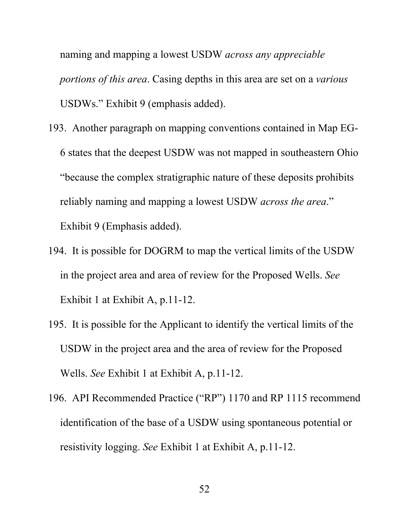naming and mapping a lowest USDW *across any appreciable portions of this area*. Casing depths in this area are set on a *various* USDWs." Exhibit 9 (emphasis added).

- 193. Another paragraph on mapping conventions contained in Map EG-6 states that the deepest USDW was not mapped in southeastern Ohio "because the complex stratigraphic nature of these deposits prohibits reliably naming and mapping a lowest USDW *across the area*." Exhibit 9 (Emphasis added).
- 194. It is possible for DOGRM to map the vertical limits of the USDW in the project area and area of review for the Proposed Wells. *See*  Exhibit 1 at Exhibit A, p.11-12.
- 195. It is possible for the Applicant to identify the vertical limits of the USDW in the project area and the area of review for the Proposed Wells. *See* Exhibit 1 at Exhibit A, p.11-12.
- 196. API Recommended Practice ("RP") 1170 and RP 1115 recommend identification of the base of a USDW using spontaneous potential or resistivity logging. *See* Exhibit 1 at Exhibit A, p.11-12.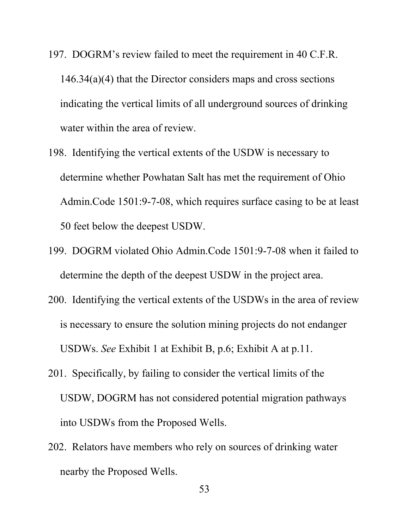- 197. DOGRM's review failed to meet the requirement in 40 C.F.R. 146.34(a)(4) that the Director considers maps and cross sections indicating the vertical limits of all underground sources of drinking water within the area of review.
- 198. Identifying the vertical extents of the USDW is necessary to determine whether Powhatan Salt has met the requirement of Ohio Admin.Code 1501:9-7-08, which requires surface casing to be at least 50 feet below the deepest USDW.
- 199. DOGRM violated Ohio Admin.Code 1501:9-7-08 when it failed to determine the depth of the deepest USDW in the project area.
- 200. Identifying the vertical extents of the USDWs in the area of review is necessary to ensure the solution mining projects do not endanger USDWs. *See* Exhibit 1 at Exhibit B, p.6; Exhibit A at p.11.
- 201. Specifically, by failing to consider the vertical limits of the USDW, DOGRM has not considered potential migration pathways into USDWs from the Proposed Wells.
- 202. Relators have members who rely on sources of drinking water nearby the Proposed Wells.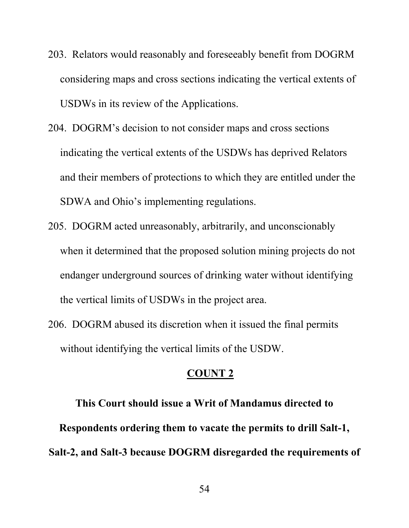- 203. Relators would reasonably and foreseeably benefit from DOGRM considering maps and cross sections indicating the vertical extents of USDWs in its review of the Applications.
- 204. DOGRM's decision to not consider maps and cross sections indicating the vertical extents of the USDWs has deprived Relators and their members of protections to which they are entitled under the SDWA and Ohio's implementing regulations.
- 205. DOGRM acted unreasonably, arbitrarily, and unconscionably when it determined that the proposed solution mining projects do not endanger underground sources of drinking water without identifying the vertical limits of USDWs in the project area.
- 206. DOGRM abused its discretion when it issued the final permits without identifying the vertical limits of the USDW.

**This Court should issue a Writ of Mandamus directed to Respondents ordering them to vacate the permits to drill Salt-1, Salt-2, and Salt-3 because DOGRM disregarded the requirements of**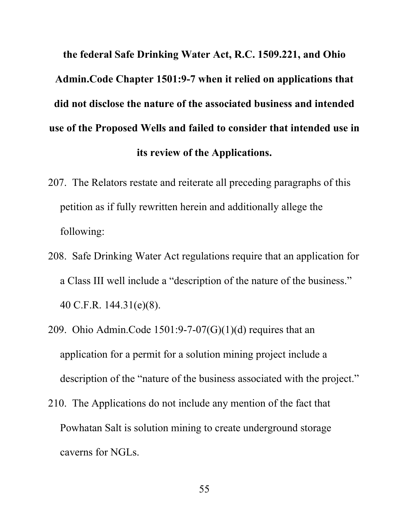**the federal Safe Drinking Water Act, R.C. 1509.221, and Ohio Admin.Code Chapter 1501:9-7 when it relied on applications that did not disclose the nature of the associated business and intended use of the Proposed Wells and failed to consider that intended use in its review of the Applications.**

- 207. The Relators restate and reiterate all preceding paragraphs of this petition as if fully rewritten herein and additionally allege the following:
- 208. Safe Drinking Water Act regulations require that an application for a Class III well include a "description of the nature of the business." 40 C.F.R. 144.31(e)(8).
- 209. Ohio Admin.Code  $1501:9-7-07(G)(1)(d)$  requires that an application for a permit for a solution mining project include a description of the "nature of the business associated with the project."
- 210. The Applications do not include any mention of the fact that Powhatan Salt is solution mining to create underground storage caverns for NGLs.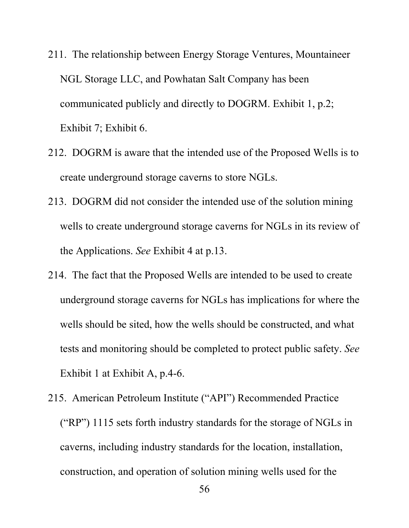- 211. The relationship between Energy Storage Ventures, Mountaineer NGL Storage LLC, and Powhatan Salt Company has been communicated publicly and directly to DOGRM. Exhibit 1, p.2; Exhibit 7; Exhibit 6.
- 212. DOGRM is aware that the intended use of the Proposed Wells is to create underground storage caverns to store NGLs.
- 213. DOGRM did not consider the intended use of the solution mining wells to create underground storage caverns for NGLs in its review of the Applications. *See* Exhibit 4 at p.13.
- 214. The fact that the Proposed Wells are intended to be used to create underground storage caverns for NGLs has implications for where the wells should be sited, how the wells should be constructed, and what tests and monitoring should be completed to protect public safety. *See*  Exhibit 1 at Exhibit A, p.4-6.
- 215. American Petroleum Institute ("API") Recommended Practice ("RP") 1115 sets forth industry standards for the storage of NGLs in caverns, including industry standards for the location, installation, construction, and operation of solution mining wells used for the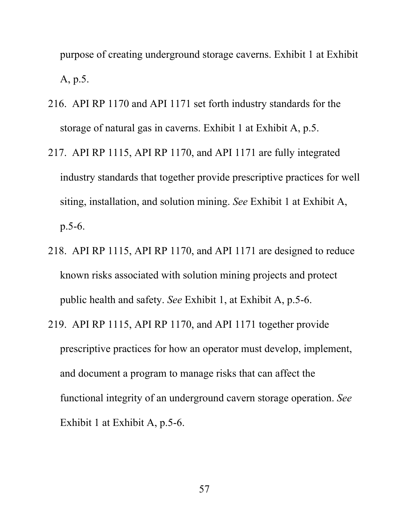purpose of creating underground storage caverns. Exhibit 1 at Exhibit A, p.5.

- 216. API RP 1170 and API 1171 set forth industry standards for the storage of natural gas in caverns. Exhibit 1 at Exhibit A, p.5.
- 217. API RP 1115, API RP 1170, and API 1171 are fully integrated industry standards that together provide prescriptive practices for well siting, installation, and solution mining. *See* Exhibit 1 at Exhibit A, p.5-6.
- 218. API RP 1115, API RP 1170, and API 1171 are designed to reduce known risks associated with solution mining projects and protect public health and safety. *See* Exhibit 1, at Exhibit A, p.5-6.
- 219. API RP 1115, API RP 1170, and API 1171 together provide prescriptive practices for how an operator must develop, implement, and document a program to manage risks that can affect the functional integrity of an underground cavern storage operation. *See* Exhibit 1 at Exhibit A, p.5-6.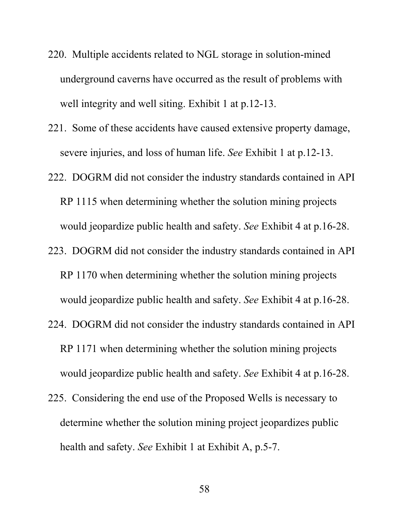- 220. Multiple accidents related to NGL storage in solution-mined underground caverns have occurred as the result of problems with well integrity and well siting. Exhibit 1 at p.12-13.
- 221. Some of these accidents have caused extensive property damage, severe injuries, and loss of human life. *See* Exhibit 1 at p.12-13.
- 222. DOGRM did not consider the industry standards contained in API RP 1115 when determining whether the solution mining projects would jeopardize public health and safety. *See* Exhibit 4 at p.16-28.
- 223. DOGRM did not consider the industry standards contained in API RP 1170 when determining whether the solution mining projects would jeopardize public health and safety. *See* Exhibit 4 at p.16-28.
- 224. DOGRM did not consider the industry standards contained in API RP 1171 when determining whether the solution mining projects would jeopardize public health and safety. *See* Exhibit 4 at p.16-28.
- 225. Considering the end use of the Proposed Wells is necessary to determine whether the solution mining project jeopardizes public health and safety. *See* Exhibit 1 at Exhibit A, p.5-7.

58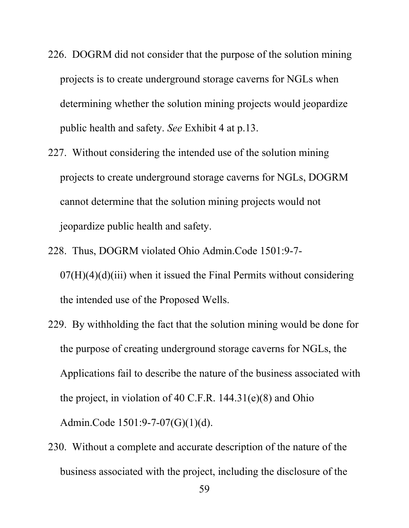- 226. DOGRM did not consider that the purpose of the solution mining projects is to create underground storage caverns for NGLs when determining whether the solution mining projects would jeopardize public health and safety. *See* Exhibit 4 at p.13.
- 227. Without considering the intended use of the solution mining projects to create underground storage caverns for NGLs, DOGRM cannot determine that the solution mining projects would not jeopardize public health and safety.
- 228. Thus, DOGRM violated Ohio Admin.Code 1501:9-7-  $07(H)(4)(d)(iii)$  when it issued the Final Permits without considering the intended use of the Proposed Wells.
- 229. By withholding the fact that the solution mining would be done for the purpose of creating underground storage caverns for NGLs, the Applications fail to describe the nature of the business associated with the project, in violation of 40 C.F.R. 144.31(e)(8) and Ohio Admin.Code 1501:9-7-07(G)(1)(d).
- 230. Without a complete and accurate description of the nature of the business associated with the project, including the disclosure of the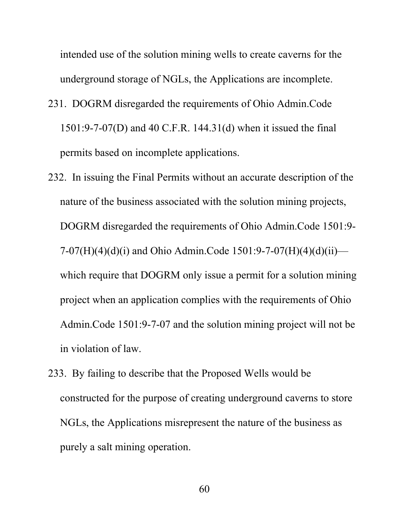intended use of the solution mining wells to create caverns for the underground storage of NGLs, the Applications are incomplete.

- 231. DOGRM disregarded the requirements of Ohio Admin.Code 1501:9-7-07(D) and 40 C.F.R. 144.31(d) when it issued the final permits based on incomplete applications.
- 232. In issuing the Final Permits without an accurate description of the nature of the business associated with the solution mining projects, DOGRM disregarded the requirements of Ohio Admin.Code 1501:9- 7-07(H)(4)(d)(i) and Ohio Admin.Code 1501:9-7-07(H)(4)(d)(ii) which require that DOGRM only issue a permit for a solution mining project when an application complies with the requirements of Ohio Admin.Code 1501:9-7-07 and the solution mining project will not be in violation of law.
- 233. By failing to describe that the Proposed Wells would be constructed for the purpose of creating underground caverns to store NGLs, the Applications misrepresent the nature of the business as purely a salt mining operation.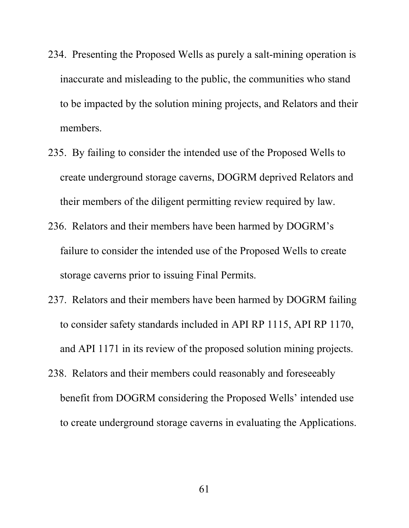- 234. Presenting the Proposed Wells as purely a salt-mining operation is inaccurate and misleading to the public, the communities who stand to be impacted by the solution mining projects, and Relators and their members.
- 235. By failing to consider the intended use of the Proposed Wells to create underground storage caverns, DOGRM deprived Relators and their members of the diligent permitting review required by law.
- 236. Relators and their members have been harmed by DOGRM's failure to consider the intended use of the Proposed Wells to create storage caverns prior to issuing Final Permits.
- 237. Relators and their members have been harmed by DOGRM failing to consider safety standards included in API RP 1115, API RP 1170, and API 1171 in its review of the proposed solution mining projects.
- 238. Relators and their members could reasonably and foreseeably benefit from DOGRM considering the Proposed Wells' intended use to create underground storage caverns in evaluating the Applications.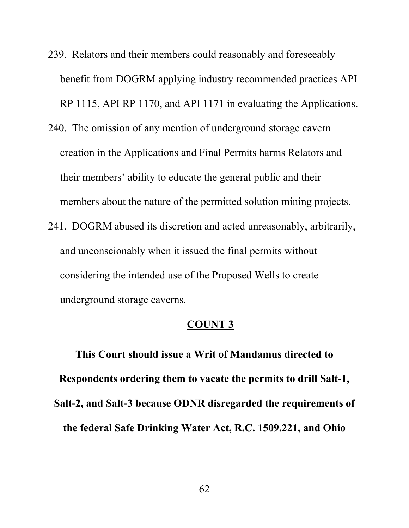- 239. Relators and their members could reasonably and foreseeably benefit from DOGRM applying industry recommended practices API RP 1115, API RP 1170, and API 1171 in evaluating the Applications.
- 240. The omission of any mention of underground storage cavern creation in the Applications and Final Permits harms Relators and their members' ability to educate the general public and their members about the nature of the permitted solution mining projects.
- 241. DOGRM abused its discretion and acted unreasonably, arbitrarily, and unconscionably when it issued the final permits without considering the intended use of the Proposed Wells to create underground storage caverns.

**This Court should issue a Writ of Mandamus directed to Respondents ordering them to vacate the permits to drill Salt-1, Salt-2, and Salt-3 because ODNR disregarded the requirements of the federal Safe Drinking Water Act, R.C. 1509.221, and Ohio**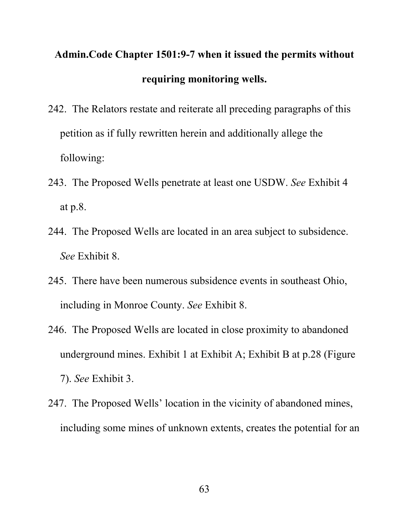# **Admin.Code Chapter 1501:9-7 when it issued the permits without requiring monitoring wells.**

- 242. The Relators restate and reiterate all preceding paragraphs of this petition as if fully rewritten herein and additionally allege the following:
- 243. The Proposed Wells penetrate at least one USDW. *See* Exhibit 4 at p.8.
- 244. The Proposed Wells are located in an area subject to subsidence. *See* Exhibit 8.
- 245. There have been numerous subsidence events in southeast Ohio, including in Monroe County. *See* Exhibit 8.
- 246. The Proposed Wells are located in close proximity to abandoned underground mines. Exhibit 1 at Exhibit A; Exhibit B at p.28 (Figure 7). *See* Exhibit 3.
- 247. The Proposed Wells' location in the vicinity of abandoned mines, including some mines of unknown extents, creates the potential for an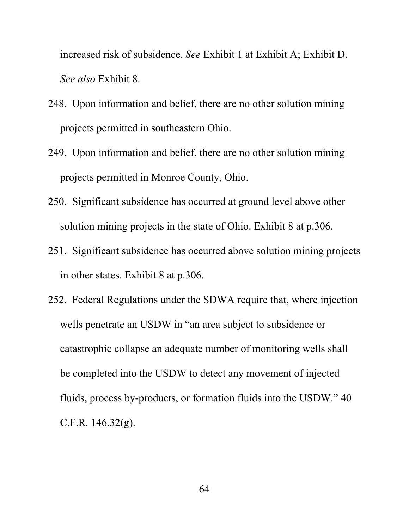increased risk of subsidence. *See* Exhibit 1 at Exhibit A; Exhibit D. *See also* Exhibit 8.

- 248. Upon information and belief, there are no other solution mining projects permitted in southeastern Ohio.
- 249. Upon information and belief, there are no other solution mining projects permitted in Monroe County, Ohio.
- 250. Significant subsidence has occurred at ground level above other solution mining projects in the state of Ohio. Exhibit 8 at p.306.
- 251. Significant subsidence has occurred above solution mining projects in other states. Exhibit 8 at p.306.
- 252. Federal Regulations under the SDWA require that, where injection wells penetrate an USDW in "an area subject to subsidence or catastrophic collapse an adequate number of monitoring wells shall be completed into the USDW to detect any movement of injected fluids, process by-products, or formation fluids into the USDW." 40 C.F.R. 146.32(g).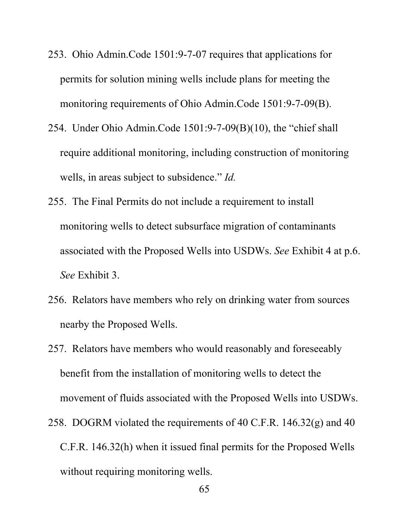- 253. Ohio Admin.Code 1501:9-7-07 requires that applications for permits for solution mining wells include plans for meeting the monitoring requirements of Ohio Admin.Code 1501:9-7-09(B).
- 254. Under Ohio Admin.Code 1501:9-7-09(B)(10), the "chief shall require additional monitoring, including construction of monitoring wells, in areas subject to subsidence." *Id.*
- 255. The Final Permits do not include a requirement to install monitoring wells to detect subsurface migration of contaminants associated with the Proposed Wells into USDWs. *See* Exhibit 4 at p.6. *See* Exhibit 3.
- 256. Relators have members who rely on drinking water from sources nearby the Proposed Wells.
- 257. Relators have members who would reasonably and foreseeably benefit from the installation of monitoring wells to detect the movement of fluids associated with the Proposed Wells into USDWs.
- 258. DOGRM violated the requirements of 40 C.F.R. 146.32(g) and 40 C.F.R. 146.32(h) when it issued final permits for the Proposed Wells without requiring monitoring wells.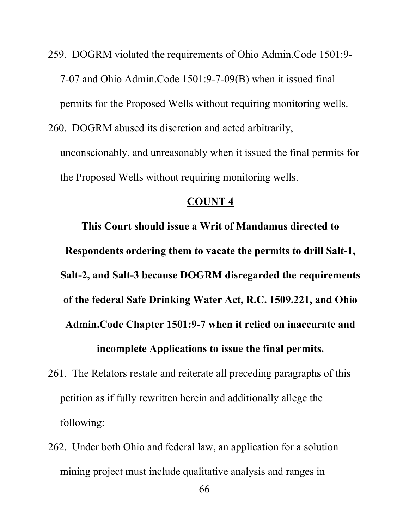- 259. DOGRM violated the requirements of Ohio Admin.Code 1501:9- 7-07 and Ohio Admin.Code 1501:9-7-09(B) when it issued final permits for the Proposed Wells without requiring monitoring wells.
- 260. DOGRM abused its discretion and acted arbitrarily, unconscionably, and unreasonably when it issued the final permits for the Proposed Wells without requiring monitoring wells.

**This Court should issue a Writ of Mandamus directed to Respondents ordering them to vacate the permits to drill Salt-1, Salt-2, and Salt-3 because DOGRM disregarded the requirements of the federal Safe Drinking Water Act, R.C. 1509.221, and Ohio Admin.Code Chapter 1501:9-7 when it relied on inaccurate and incomplete Applications to issue the final permits.**

- 261. The Relators restate and reiterate all preceding paragraphs of this petition as if fully rewritten herein and additionally allege the following:
- 262. Under both Ohio and federal law, an application for a solution mining project must include qualitative analysis and ranges in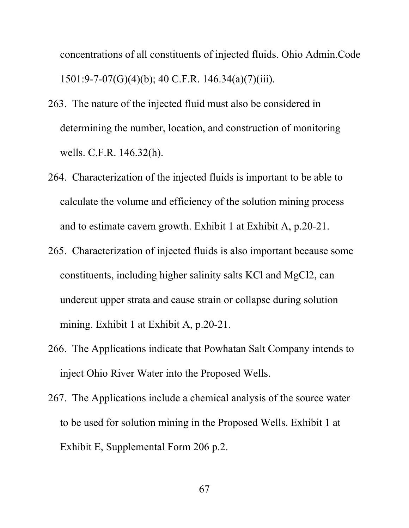concentrations of all constituents of injected fluids. Ohio Admin.Code 1501:9-7-07(G)(4)(b); 40 C.F.R. 146.34(a)(7)(iii).

- 263. The nature of the injected fluid must also be considered in determining the number, location, and construction of monitoring wells. C.F.R. 146.32(h).
- 264. Characterization of the injected fluids is important to be able to calculate the volume and efficiency of the solution mining process and to estimate cavern growth. Exhibit 1 at Exhibit A, p.20-21.
- 265. Characterization of injected fluids is also important because some constituents, including higher salinity salts KCl and MgCl2, can undercut upper strata and cause strain or collapse during solution mining. Exhibit 1 at Exhibit A, p.20-21.
- 266. The Applications indicate that Powhatan Salt Company intends to inject Ohio River Water into the Proposed Wells.
- 267. The Applications include a chemical analysis of the source water to be used for solution mining in the Proposed Wells. Exhibit 1 at Exhibit E, Supplemental Form 206 p.2.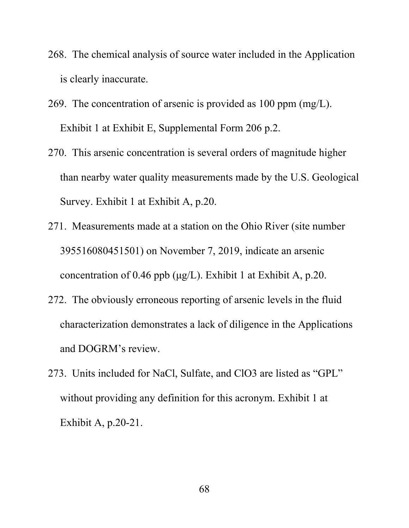- 268. The chemical analysis of source water included in the Application is clearly inaccurate.
- 269. The concentration of arsenic is provided as 100 ppm (mg/L). Exhibit 1 at Exhibit E, Supplemental Form 206 p.2.
- 270. This arsenic concentration is several orders of magnitude higher than nearby water quality measurements made by the U.S. Geological Survey. Exhibit 1 at Exhibit A, p.20.
- 271. Measurements made at a station on the Ohio River (site number 395516080451501) on November 7, 2019, indicate an arsenic concentration of 0.46 ppb  $(\mu g/L)$ . Exhibit 1 at Exhibit A, p.20.
- 272. The obviously erroneous reporting of arsenic levels in the fluid characterization demonstrates a lack of diligence in the Applications and DOGRM's review.
- 273. Units included for NaCl, Sulfate, and ClO3 are listed as "GPL" without providing any definition for this acronym. Exhibit 1 at Exhibit A, p.20-21.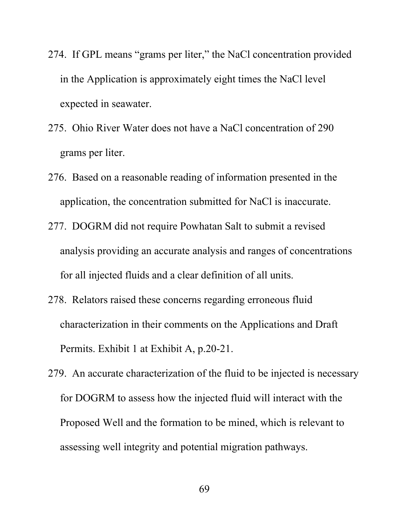- 274. If GPL means "grams per liter," the NaCl concentration provided in the Application is approximately eight times the NaCl level expected in seawater.
- 275. Ohio River Water does not have a NaCl concentration of 290 grams per liter.
- 276. Based on a reasonable reading of information presented in the application, the concentration submitted for NaCl is inaccurate.
- 277. DOGRM did not require Powhatan Salt to submit a revised analysis providing an accurate analysis and ranges of concentrations for all injected fluids and a clear definition of all units.
- 278. Relators raised these concerns regarding erroneous fluid characterization in their comments on the Applications and Draft Permits. Exhibit 1 at Exhibit A, p.20-21.
- 279. An accurate characterization of the fluid to be injected is necessary for DOGRM to assess how the injected fluid will interact with the Proposed Well and the formation to be mined, which is relevant to assessing well integrity and potential migration pathways.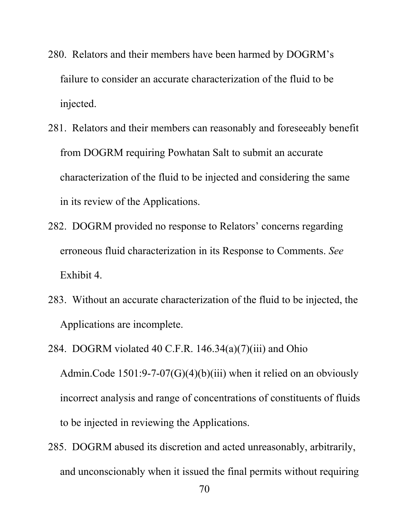- 280. Relators and their members have been harmed by DOGRM's failure to consider an accurate characterization of the fluid to be injected.
- 281. Relators and their members can reasonably and foreseeably benefit from DOGRM requiring Powhatan Salt to submit an accurate characterization of the fluid to be injected and considering the same in its review of the Applications.
- 282. DOGRM provided no response to Relators' concerns regarding erroneous fluid characterization in its Response to Comments. *See*  Exhibit 4.
- 283. Without an accurate characterization of the fluid to be injected, the Applications are incomplete.
- 284. DOGRM violated 40 C.F.R.  $146.34(a)(7)(iii)$  and Ohio Admin.Code  $1501:9-7-07(G)(4)(b)(iii)$  when it relied on an obviously incorrect analysis and range of concentrations of constituents of fluids to be injected in reviewing the Applications.
- 285. DOGRM abused its discretion and acted unreasonably, arbitrarily, and unconscionably when it issued the final permits without requiring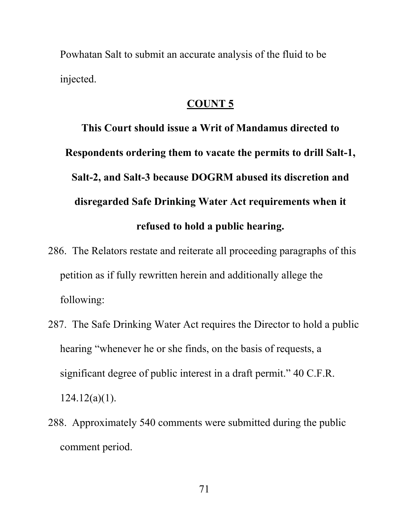Powhatan Salt to submit an accurate analysis of the fluid to be injected.

# **COUNT 5**

**This Court should issue a Writ of Mandamus directed to Respondents ordering them to vacate the permits to drill Salt-1, Salt-2, and Salt-3 because DOGRM abused its discretion and disregarded Safe Drinking Water Act requirements when it refused to hold a public hearing.**

- 286. The Relators restate and reiterate all proceeding paragraphs of this petition as if fully rewritten herein and additionally allege the following:
- 287. The Safe Drinking Water Act requires the Director to hold a public hearing "whenever he or she finds, on the basis of requests, a significant degree of public interest in a draft permit." 40 C.F.R.  $124.12(a)(1)$ .
- 288. Approximately 540 comments were submitted during the public comment period.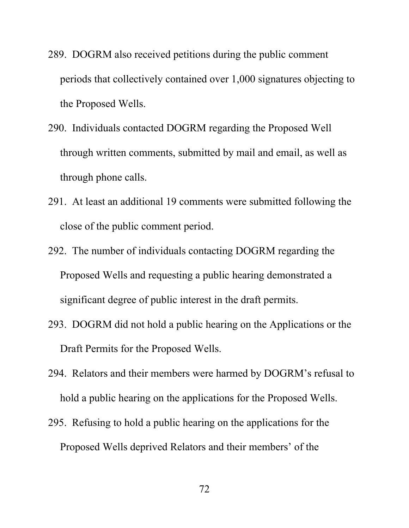- 289. DOGRM also received petitions during the public comment periods that collectively contained over 1,000 signatures objecting to the Proposed Wells.
- 290. Individuals contacted DOGRM regarding the Proposed Well through written comments, submitted by mail and email, as well as through phone calls.
- 291. At least an additional 19 comments were submitted following the close of the public comment period.
- 292. The number of individuals contacting DOGRM regarding the Proposed Wells and requesting a public hearing demonstrated a significant degree of public interest in the draft permits.
- 293. DOGRM did not hold a public hearing on the Applications or the Draft Permits for the Proposed Wells.
- 294. Relators and their members were harmed by DOGRM's refusal to hold a public hearing on the applications for the Proposed Wells.
- 295. Refusing to hold a public hearing on the applications for the Proposed Wells deprived Relators and their members' of the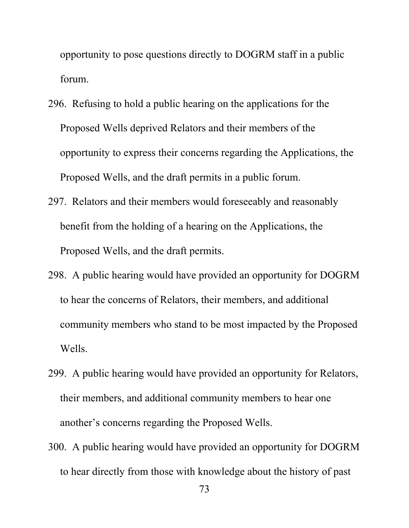opportunity to pose questions directly to DOGRM staff in a public forum.

- 296. Refusing to hold a public hearing on the applications for the Proposed Wells deprived Relators and their members of the opportunity to express their concerns regarding the Applications, the Proposed Wells, and the draft permits in a public forum.
- 297. Relators and their members would foreseeably and reasonably benefit from the holding of a hearing on the Applications, the Proposed Wells, and the draft permits.
- 298. A public hearing would have provided an opportunity for DOGRM to hear the concerns of Relators, their members, and additional community members who stand to be most impacted by the Proposed Wells.
- 299. A public hearing would have provided an opportunity for Relators, their members, and additional community members to hear one another's concerns regarding the Proposed Wells.
- 300. A public hearing would have provided an opportunity for DOGRM to hear directly from those with knowledge about the history of past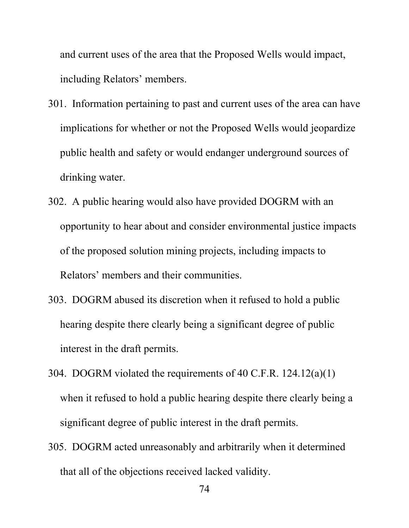and current uses of the area that the Proposed Wells would impact, including Relators' members.

- 301. Information pertaining to past and current uses of the area can have implications for whether or not the Proposed Wells would jeopardize public health and safety or would endanger underground sources of drinking water.
- 302. A public hearing would also have provided DOGRM with an opportunity to hear about and consider environmental justice impacts of the proposed solution mining projects, including impacts to Relators' members and their communities.
- 303. DOGRM abused its discretion when it refused to hold a public hearing despite there clearly being a significant degree of public interest in the draft permits.
- 304. DOGRM violated the requirements of 40 C.F.R. 124.12(a)(1) when it refused to hold a public hearing despite there clearly being a significant degree of public interest in the draft permits.
- 305. DOGRM acted unreasonably and arbitrarily when it determined that all of the objections received lacked validity.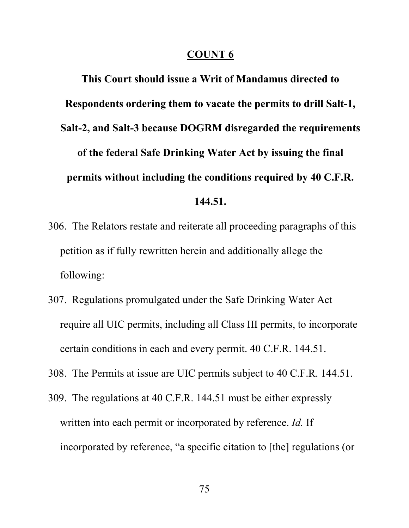#### **COUNT 6**

**This Court should issue a Writ of Mandamus directed to Respondents ordering them to vacate the permits to drill Salt-1, Salt-2, and Salt-3 because DOGRM disregarded the requirements of the federal Safe Drinking Water Act by issuing the final permits without including the conditions required by 40 C.F.R. 144.51.**

- 306. The Relators restate and reiterate all proceeding paragraphs of this petition as if fully rewritten herein and additionally allege the following:
- 307. Regulations promulgated under the Safe Drinking Water Act require all UIC permits, including all Class III permits, to incorporate certain conditions in each and every permit. 40 C.F.R. 144.51.
- 308. The Permits at issue are UIC permits subject to 40 C.F.R. 144.51.
- 309. The regulations at 40 C.F.R. 144.51 must be either expressly written into each permit or incorporated by reference. *Id.* If incorporated by reference, "a specific citation to [the] regulations (or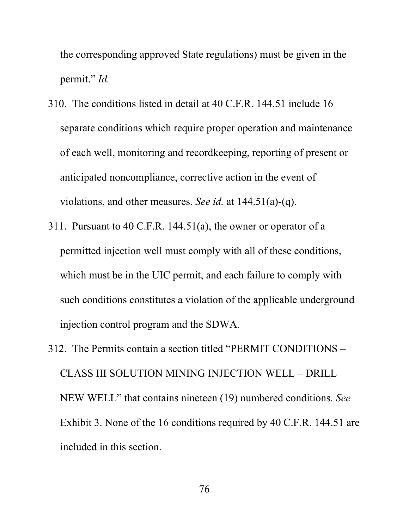the corresponding approved State regulations) must be given in the permit." *Id.*

- 310. The conditions listed in detail at 40 C.F.R. 144.51 include 16 separate conditions which require proper operation and maintenance of each well, monitoring and recordkeeping, reporting of present or anticipated noncompliance, corrective action in the event of violations, and other measures. *See id.* at 144.51(a)-(q).
- 311. Pursuant to 40 C.F.R. 144.51(a), the owner or operator of a permitted injection well must comply with all of these conditions, which must be in the UIC permit, and each failure to comply with such conditions constitutes a violation of the applicable underground injection control program and the SDWA.
- 312. The Permits contain a section titled "PERMIT CONDITIONS CLASS III SOLUTION MINING INJECTION WELL – DRILL NEW WELL" that contains nineteen (19) numbered conditions. *See* Exhibit 3. None of the 16 conditions required by 40 C.F.R. 144.51 are included in this section.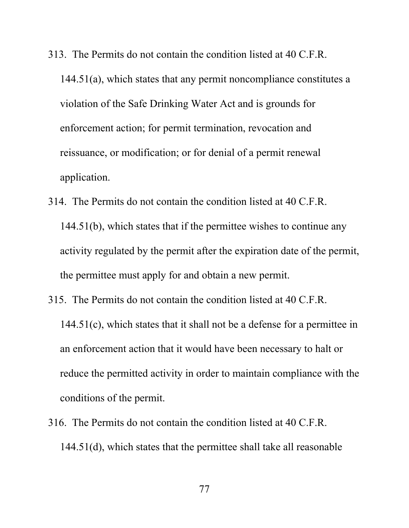- 313. The Permits do not contain the condition listed at 40 C.F.R. 144.51(a), which states that any permit noncompliance constitutes a violation of the Safe Drinking Water Act and is grounds for enforcement action; for permit termination, revocation and reissuance, or modification; or for denial of a permit renewal application.
- 314. The Permits do not contain the condition listed at 40 C.F.R. 144.51(b), which states that if the permittee wishes to continue any activity regulated by the permit after the expiration date of the permit, the permittee must apply for and obtain a new permit.
- 315. The Permits do not contain the condition listed at 40 C.F.R. 144.51(c), which states that it shall not be a defense for a permittee in an enforcement action that it would have been necessary to halt or reduce the permitted activity in order to maintain compliance with the conditions of the permit.
- 316. The Permits do not contain the condition listed at 40 C.F.R. 144.51(d), which states that the permittee shall take all reasonable

77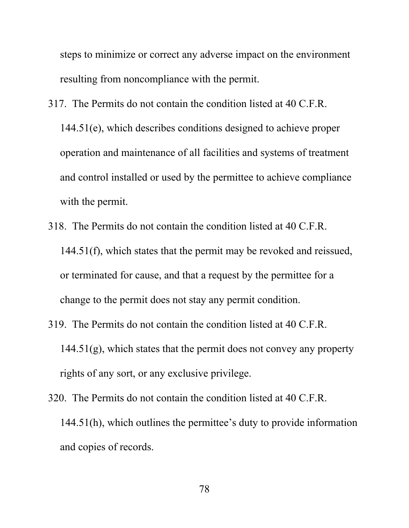steps to minimize or correct any adverse impact on the environment resulting from noncompliance with the permit.

- 317. The Permits do not contain the condition listed at 40 C.F.R. 144.51(e), which describes conditions designed to achieve proper operation and maintenance of all facilities and systems of treatment and control installed or used by the permittee to achieve compliance with the permit.
- 318. The Permits do not contain the condition listed at 40 C.F.R. 144.51(f), which states that the permit may be revoked and reissued, or terminated for cause, and that a request by the permittee for a change to the permit does not stay any permit condition.
- 319. The Permits do not contain the condition listed at 40 C.F.R. 144.51(g), which states that the permit does not convey any property rights of any sort, or any exclusive privilege.
- 320. The Permits do not contain the condition listed at 40 C.F.R. 144.51(h), which outlines the permittee's duty to provide information and copies of records.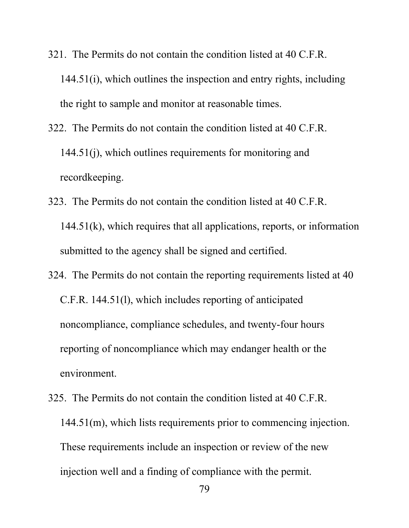- 321. The Permits do not contain the condition listed at 40 C.F.R. 144.51(i), which outlines the inspection and entry rights, including the right to sample and monitor at reasonable times.
- 322. The Permits do not contain the condition listed at 40 C.F.R. 144.51(j), which outlines requirements for monitoring and recordkeeping.
- 323. The Permits do not contain the condition listed at 40 C.F.R. 144.51(k), which requires that all applications, reports, or information submitted to the agency shall be signed and certified.
- 324. The Permits do not contain the reporting requirements listed at 40 C.F.R. 144.51(l), which includes reporting of anticipated noncompliance, compliance schedules, and twenty-four hours reporting of noncompliance which may endanger health or the environment.
- 325. The Permits do not contain the condition listed at 40 C.F.R. 144.51(m), which lists requirements prior to commencing injection. These requirements include an inspection or review of the new injection well and a finding of compliance with the permit.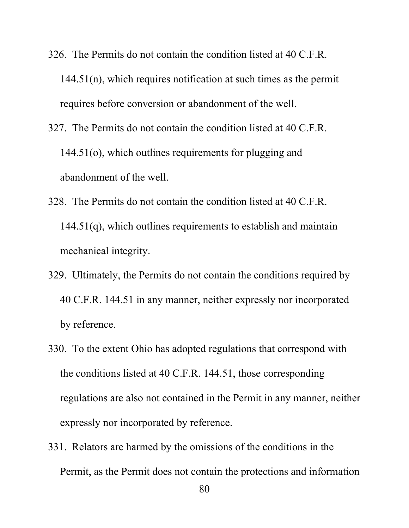- 326. The Permits do not contain the condition listed at 40 C.F.R. 144.51(n), which requires notification at such times as the permit requires before conversion or abandonment of the well.
- 327. The Permits do not contain the condition listed at 40 C.F.R. 144.51(o), which outlines requirements for plugging and abandonment of the well.
- 328. The Permits do not contain the condition listed at 40 C.F.R. 144.51(q), which outlines requirements to establish and maintain mechanical integrity.
- 329. Ultimately, the Permits do not contain the conditions required by 40 C.F.R. 144.51 in any manner, neither expressly nor incorporated by reference.
- 330. To the extent Ohio has adopted regulations that correspond with the conditions listed at 40 C.F.R. 144.51, those corresponding regulations are also not contained in the Permit in any manner, neither expressly nor incorporated by reference.
- 331. Relators are harmed by the omissions of the conditions in the Permit, as the Permit does not contain the protections and information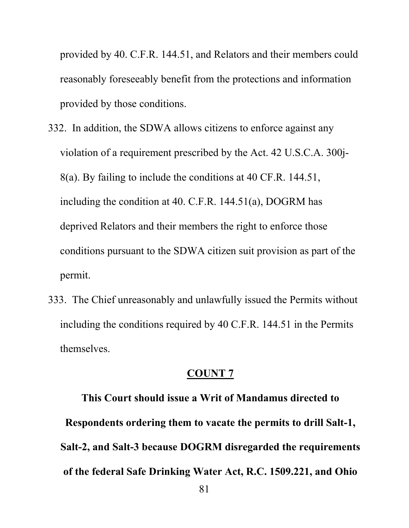provided by 40. C.F.R. 144.51, and Relators and their members could reasonably foreseeably benefit from the protections and information provided by those conditions.

- 332. In addition, the SDWA allows citizens to enforce against any violation of a requirement prescribed by the Act. 42 U.S.C.A. 300j-8(a). By failing to include the conditions at 40 CF.R. 144.51, including the condition at 40. C.F.R. 144.51(a), DOGRM has deprived Relators and their members the right to enforce those conditions pursuant to the SDWA citizen suit provision as part of the permit.
- 333. The Chief unreasonably and unlawfully issued the Permits without including the conditions required by 40 C.F.R. 144.51 in the Permits themselves.

#### **COUNT 7**

**This Court should issue a Writ of Mandamus directed to Respondents ordering them to vacate the permits to drill Salt-1, Salt-2, and Salt-3 because DOGRM disregarded the requirements of the federal Safe Drinking Water Act, R.C. 1509.221, and Ohio**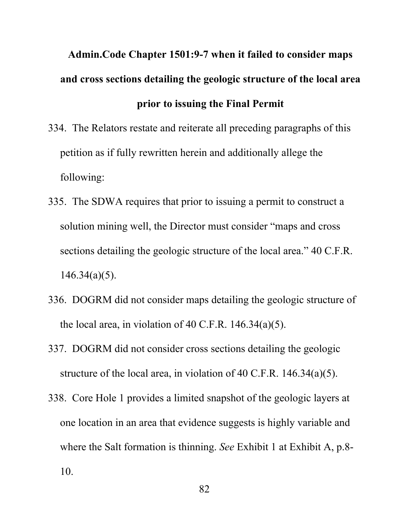# **Admin.Code Chapter 1501:9-7 when it failed to consider maps and cross sections detailing the geologic structure of the local area prior to issuing the Final Permit**

- 334. The Relators restate and reiterate all preceding paragraphs of this petition as if fully rewritten herein and additionally allege the following:
- 335. The SDWA requires that prior to issuing a permit to construct a solution mining well, the Director must consider "maps and cross sections detailing the geologic structure of the local area." 40 C.F.R.  $146.34(a)(5)$ .
- 336. DOGRM did not consider maps detailing the geologic structure of the local area, in violation of 40 C.F.R.  $146.34(a)(5)$ .
- 337. DOGRM did not consider cross sections detailing the geologic structure of the local area, in violation of 40 C.F.R. 146.34(a)(5).
- 338. Core Hole 1 provides a limited snapshot of the geologic layers at one location in an area that evidence suggests is highly variable and where the Salt formation is thinning. *See* Exhibit 1 at Exhibit A, p.8- 10.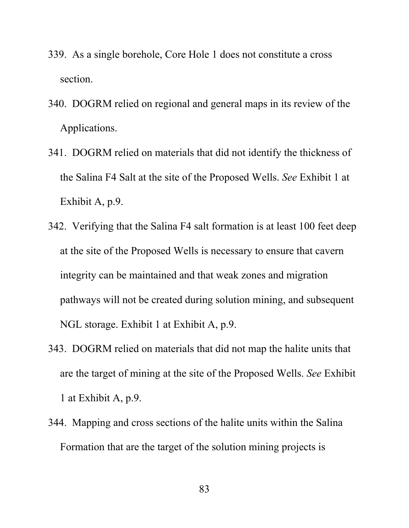- 339. As a single borehole, Core Hole 1 does not constitute a cross section.
- 340. DOGRM relied on regional and general maps in its review of the Applications.
- 341. DOGRM relied on materials that did not identify the thickness of the Salina F4 Salt at the site of the Proposed Wells. *See* Exhibit 1 at Exhibit A, p.9.
- 342. Verifying that the Salina F4 salt formation is at least 100 feet deep at the site of the Proposed Wells is necessary to ensure that cavern integrity can be maintained and that weak zones and migration pathways will not be created during solution mining, and subsequent NGL storage. Exhibit 1 at Exhibit A, p.9.
- 343. DOGRM relied on materials that did not map the halite units that are the target of mining at the site of the Proposed Wells. *See* Exhibit 1 at Exhibit A, p.9.
- 344. Mapping and cross sections of the halite units within the Salina Formation that are the target of the solution mining projects is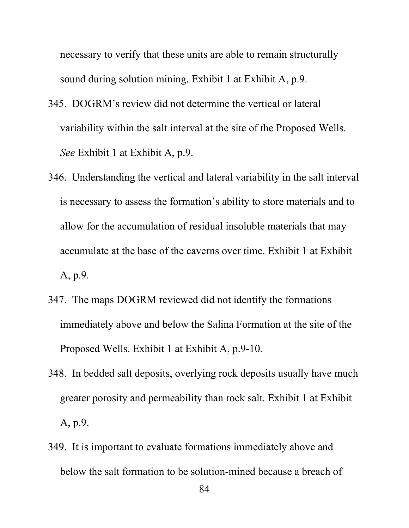necessary to verify that these units are able to remain structurally sound during solution mining. Exhibit 1 at Exhibit A, p.9.

- 345. DOGRM's review did not determine the vertical or lateral variability within the salt interval at the site of the Proposed Wells. *See* Exhibit 1 at Exhibit A, p.9.
- 346. Understanding the vertical and lateral variability in the salt interval is necessary to assess the formation's ability to store materials and to allow for the accumulation of residual insoluble materials that may accumulate at the base of the caverns over time. Exhibit 1 at Exhibit A, p.9.
- 347. The maps DOGRM reviewed did not identify the formations immediately above and below the Salina Formation at the site of the Proposed Wells. Exhibit 1 at Exhibit A, p.9-10.
- 348. In bedded salt deposits, overlying rock deposits usually have much greater porosity and permeability than rock salt. Exhibit 1 at Exhibit A, p.9.
- 349. It is important to evaluate formations immediately above and below the salt formation to be solution-mined because a breach of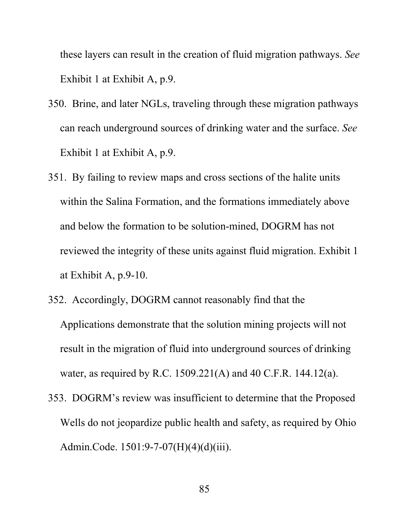these layers can result in the creation of fluid migration pathways. *See*  Exhibit 1 at Exhibit A, p.9.

- 350. Brine, and later NGLs, traveling through these migration pathways can reach underground sources of drinking water and the surface. *See*  Exhibit 1 at Exhibit A, p.9.
- 351. By failing to review maps and cross sections of the halite units within the Salina Formation, and the formations immediately above and below the formation to be solution-mined, DOGRM has not reviewed the integrity of these units against fluid migration. Exhibit 1 at Exhibit A, p.9-10.
- 352. Accordingly, DOGRM cannot reasonably find that the Applications demonstrate that the solution mining projects will not result in the migration of fluid into underground sources of drinking water, as required by R.C. 1509.221(A) and 40 C.F.R. 144.12(a).
- 353. DOGRM's review was insufficient to determine that the Proposed Wells do not jeopardize public health and safety, as required by Ohio Admin.Code. 1501:9-7-07(H)(4)(d)(iii).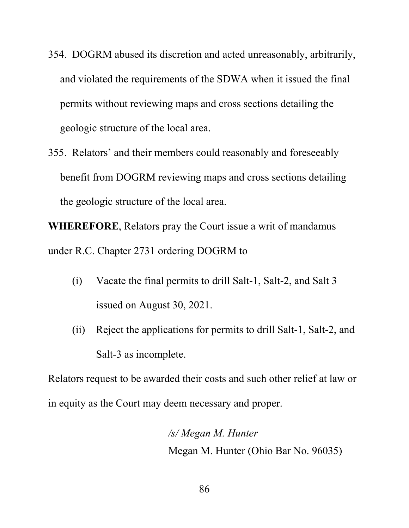- 354. DOGRM abused its discretion and acted unreasonably, arbitrarily, and violated the requirements of the SDWA when it issued the final permits without reviewing maps and cross sections detailing the geologic structure of the local area.
- 355. Relators' and their members could reasonably and foreseeably benefit from DOGRM reviewing maps and cross sections detailing the geologic structure of the local area.

**WHEREFORE**, Relators pray the Court issue a writ of mandamus under R.C. Chapter 2731 ordering DOGRM to

- (i) Vacate the final permits to drill Salt-1, Salt-2, and Salt 3 issued on August 30, 2021.
- (ii) Reject the applications for permits to drill Salt-1, Salt-2, and Salt-3 as incomplete.

Relators request to be awarded their costs and such other relief at law or in equity as the Court may deem necessary and proper.

> */s/ Megan M. Hunter* . Megan M. Hunter (Ohio Bar No. 96035)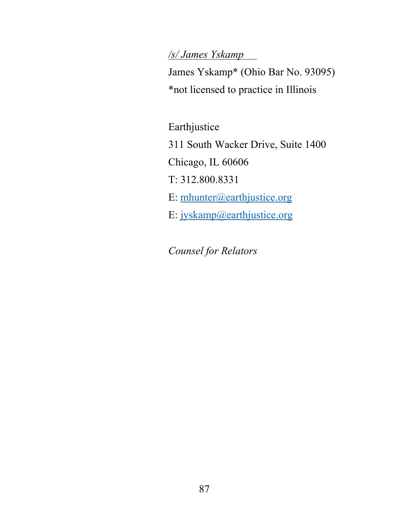# */s/ James Yskamp* .

James Yskamp\* (Ohio Bar No. 93095) \*not licensed to practice in Illinois

Earthjustice 311 South Wacker Drive, Suite 1400 Chicago, IL 60606 T: 312.800.8331 E: [mhunter@earthjustice.org](mailto:mhunter@earthjustice.org) E: [jyskamp@earthjustice.org](mailto:jyskamp@earthjustice.org)

*Counsel for Relators*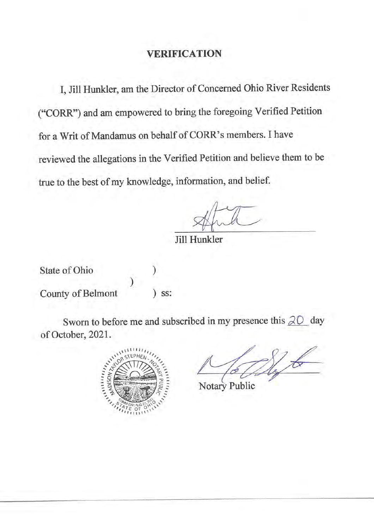I, Jill Hunkler, am the Director of Concerned Ohio River Residents ("CORR") and am empowered to bring the foregoing Verified Petition for a Writ of Mandamus on behalf of CORR's members. I have reviewed the allegations in the Verified Petition and believe them to be true to the best of my knowledge, information, and belief.

Jill Hunkler

State of Ohio County of Belmont

 $)$  SS:

Sworn to before me and subscribed in my presence this  $20$  day of October, 2021.



Notary Public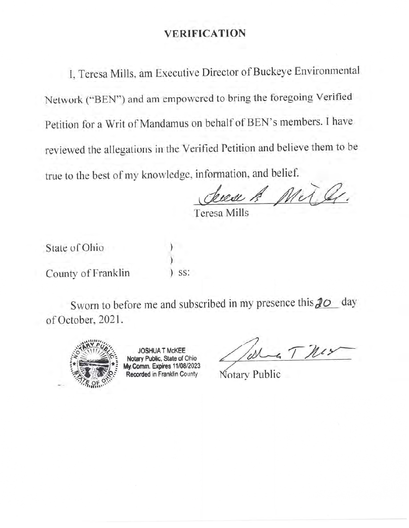I, Teresa Mills, am Executive Director of Buckeye Environmental Network ("BEN") and am empowered to bring the foregoing Verified Petition for a Writ of Mandamus on behalf of BEN's members. I have reviewed the allegations in the Verified Petition and believe them to be true to the best of my knowledge, information, and belief.

deed & Mr

Teresa Mills

State of Ohio County of Franklin SS:

Sworn to before me and subscribed in my presence this  $\partial$   $\phi$  day of October, 2021.



**JOSHUA T McKEE** Notary Public, State of Ohio My Comm. Expires 11/08/2023 Recorded in Franklin County

Notary Public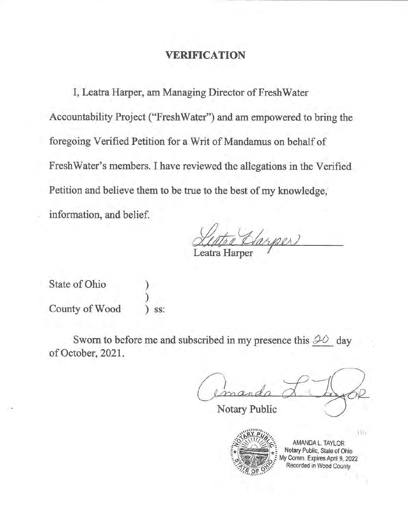I, Leatra Harper, am Managing Director of FreshWater Accountability Project ("FreshWater") and am empowered to bring the foregoing Verified Petition for a Writ of Mandamus on behalf of FreshWater's members. I have reviewed the allegations in the Verified Petition and believe them to be true to the best of my knowledge, information, and belief.

Leatra Harper

State of Ohio County of Wood SS:

Sworn to before me and subscribed in my presence this  $\mathcal{P}O$  day of October, 2021.

Notary Public



AMANDA L. TAYLOR Notary Public, State of Ohio My Comm. Expires April 9, 2022 Recorded in Wood County

 $111$